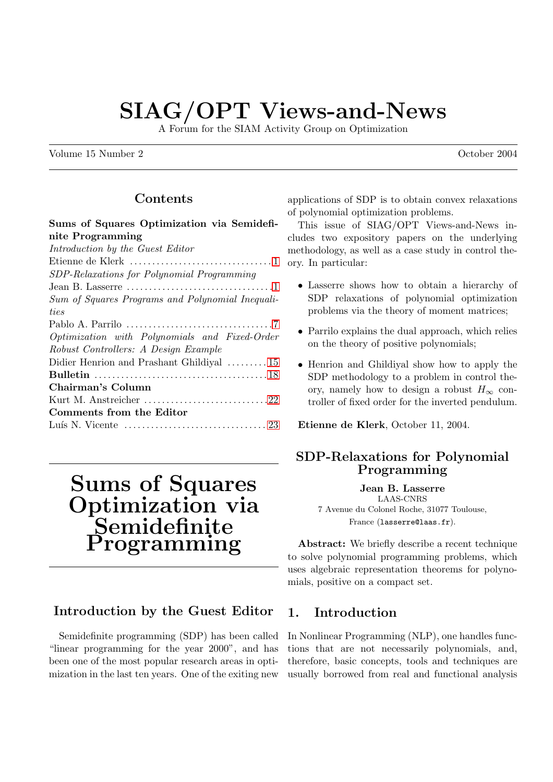# SIAG/OPT Views-and-News

A Forum for the SIAM Activity Group on Optimization

Volume 15 Number 2 **October 2004** 

### Contents

### Sums of Squares Optimization via Semidefinite Programming

| Introduction by the Guest Editor                 |
|--------------------------------------------------|
|                                                  |
| SDP-Relaxations for Polynomial Programming       |
|                                                  |
| Sum of Squares Programs and Polynomial Inequali- |
| ties                                             |
|                                                  |
| Optimization with Polynomials and Fixed-Order    |
| Robust Controllers: A Design Example             |
| Didier Henrion and Prashant Ghildiyal  15        |
|                                                  |
| Chairman's Column                                |
|                                                  |
| Comments from the Editor                         |
|                                                  |
|                                                  |

# Sums of Squares Optimization via Semidefinite Programming

### Introduction by the Guest Editor

Semidefinite programming (SDP) has been called "linear programming for the year 2000", and has been one of the most popular research areas in optimization in the last ten years. One of the exiting new applications of SDP is to obtain convex relaxations of polynomial optimization problems.

This issue of SIAG/OPT Views-and-News includes two expository papers on the underlying methodology, as well as a case study in control theory. In particular:

- Lasserre shows how to obtain a hierarchy of SDP relaxations of polynomial optimization problems via the theory of moment matrices;
- Parrilo explains the dual approach, which relies on the theory of positive polynomials;
- Henrion and Ghildiyal show how to apply the SDP methodology to a problem in control theory, namely how to design a robust  $H_{\infty}$  controller of fixed order for the inverted pendulum.

Etienne de Klerk, October 11, 2004.

### SDP-Relaxations for Polynomial Programming

Jean B. Lasserre LAAS-CNRS 7 Avenue du Colonel Roche, 31077 Toulouse, France (lasserre@laas.fr).

Abstract: We briefly describe a recent technique to solve polynomial programming problems, which uses algebraic representation theorems for polynomials, positive on a compact set.

### 1. Introduction

In Nonlinear Programming (NLP), one handles functions that are not necessarily polynomials, and, therefore, basic concepts, tools and techniques are usually borrowed from real and functional analysis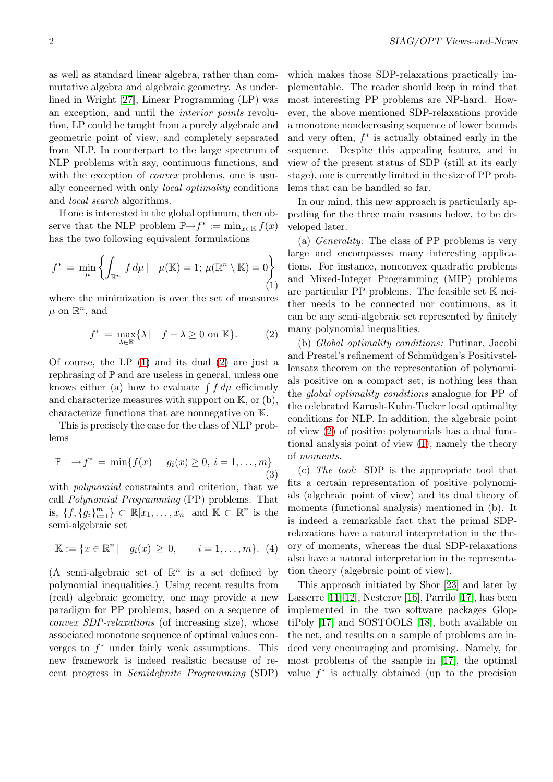<span id="page-1-0"></span>as well as standard linear algebra, rather than commutative algebra and algebraic geometry. As underlined in Wright [27], Linear Programming (LP) was an exception, and until the interior points revolution, LP could be taught from a purely algebraic and geometric point of view, and completely separated from NLP. In c[oun](#page-6-0)terpart to the large spectrum of NLP problems with say, continuous functions, and with the exception of *convex* problems, one is usually concerned with only local optimality conditions and local search algorithms.

If one is interested in the global optimum, then observe that the NLP problem  $\mathbb{P}\rightarrow f^* := \min_{x \in \mathbb{K}} f(x)$ has the two following equivalent formulations

$$
f^* = \min_{\mu} \left\{ \int_{\mathbb{R}^n} f d\mu \, | \quad \mu(\mathbb{K}) = 1; \, \mu(\mathbb{R}^n \setminus \mathbb{K}) = 0 \right\}
$$
 (1)

where the minimization is over the set of measures  $\mu$  on  $\mathbb{R}^n$ , and

$$
f^* = \max_{\lambda \in \mathbb{R}} \{ \lambda \mid f - \lambda \ge 0 \text{ on } \mathbb{K} \}. \tag{2}
$$

Of course, the LP  $(1)$  and its dual  $(2)$  are just a rephrasing of  $\mathbb P$  and are useless in general, unless one rephrasing of F and are useless in general, unless one<br>knows either (a) how to evaluate  $\int f d\mu$  efficiently and characterize measures with support on  $K$ , or  $(b)$ , characterize functions that are nonnegative on K.

This is precisely the case for the class of NLP problems

$$
\mathbb{P} \to f^* = \min\{f(x) \mid g_i(x) \ge 0, i = 1, ..., m\}
$$
\n(3)

with *polynomial* constraints and criterion, that we call Polynomial Programming (PP) problems. That is,  $\{f, \{g_i\}_{i=1}^m\} \subset \mathbb{R}[x_1,\ldots,x_n]$  and  $\mathbb{K} \subset \mathbb{R}^n$  is the semi-algebraic set

$$
\mathbb{K} := \{x \in \mathbb{R}^n \mid g_i(x) \geq 0, \quad i = 1, \dots, m\}. \tag{4}
$$

(A semi-algebraic set of  $\mathbb{R}^n$  is a set defined by polynomial inequalities.) Using recent results from (real) algebraic geometry, one may provide a new paradigm for PP problems, based on a sequence of convex SDP-relaxations (of increasing size), whose associated monotone sequence of optimal values converges to  $f^*$  under fairly weak assumptions. This new framework is indeed realistic because of recent progress in Semidefinite Programming (SDP)

which makes those SDP-relaxations practically implementable. The reader should keep in mind that most interesting PP problems are NP-hard. However, the above mentioned SDP-relaxations provide a monotone nondecreasing sequence of lower bounds and very often,  $f^*$  is actually obtained early in the sequence. Despite this appealing feature, and in view of the present status of SDP (still at its early stage), one is currently limited in the size of PP problems that can be handled so far.

In our mind, this new approach is particularly appealing for the three main reasons below, to be developed later.

(a) Generality: The class of PP problems is very large and encompasses many interesting applications. For instance, nonconvex quadratic problems and Mixed-Integer Programming (MIP) problems are particular PP problems. The feasible set  $K$  neither needs to be connected nor continuous, as it can be any semi-algebraic set represented by finitely many polynomial inequalities.

(b) Global optimality conditions: Putinar, Jacobi and Prestel's refinement of Schmüdgen's Positivstellensatz theorem on the representation of polynomials positive on a compact set, is nothing less than the global optimality conditions analogue for PP of the celebrated Karush-Kuhn-Tucker local optimality conditions for NLP. In addition, the algebraic point of view (2) of positive polynomials has a dual functional analysis point of view (1), namely the theory of moments.

(c) The tool: SDP is the appropriate tool that fits a certain representation of positive polynomials (algebraic point of view) and its dual theory of moments (functional analysis) mentioned in (b). It is indeed a remarkable fact that the primal SDPrelaxations have a natural interpretation in the theory of moments, whereas the dual SDP-relaxations also have a natural interpretation in the representation theory (algebraic point of view).

This approach initiated by Shor [23] and later by Lasserre [11, 12], Nesterov [16], Parrilo [17], has been implemented in the two software packages GloptiPoly [17] and SOSTOOLS [18], both available on the net, and results on a sample of [pro](#page-6-0)blems are indeed ver[y encou](#page-5-0)raging an[d pr](#page-5-0)omising. [N](#page-5-0)amely, for most problems of the sample in [17], the optimal value  $f^*$  is actually obtaine[d \(u](#page-6-0)p to the precision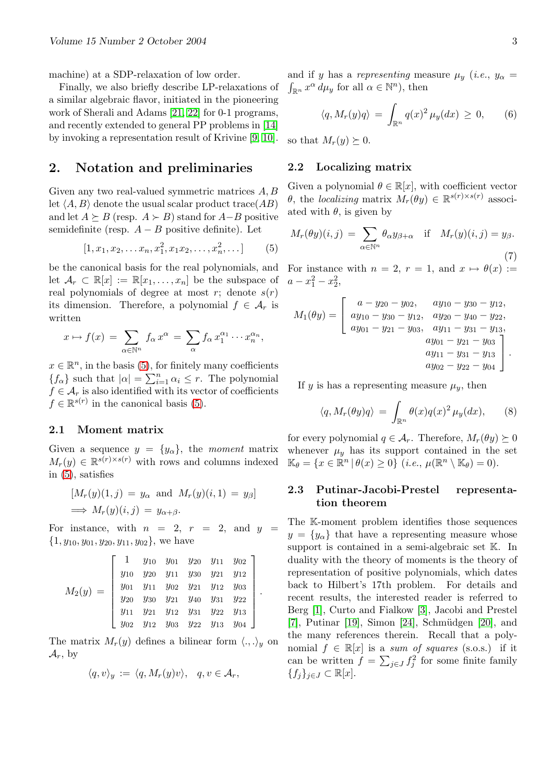<span id="page-2-0"></span>machine) at a SDP-relaxation of low order.

Finally, we also briefly describe LP-relaxations of a similar algebraic flavor, initiated in the pioneering work of Sherali and Adams [21, 22] for 0-1 programs, and recently extended to general PP problems in [14] by invoking a representation result of Krivine [9, 10].

### 2. Notation and [prelim](#page-6-0)inaries

Given any two real-valued symmetric matrice[s](#page-5-0) [A, B](#page-5-0) let  $\langle A, B \rangle$  denote the usual scalar product trace(*AB*) and let  $A \succeq B$  (resp.  $A \succeq B$ ) stand for  $A-B$  positive semidefinite (resp.  $A - B$  positive definite). Let

$$
[1, x_1, x_2, \dots x_n, x_1^2, x_1 x_2, \dots, x_n^2, \dots]
$$
 (5)

be the canonical basis for the real polynomials, and let  $\mathcal{A}_r \subset \mathbb{R}[x] := \mathbb{R}[x_1,\ldots,x_n]$  be the subspace of real polynomials of degree at most r; denote  $s(r)$ its dimension. Therefore, a polynomial  $f \in \mathcal{A}_r$  is written

$$
x \mapsto f(x) = \sum_{\alpha \in \mathbb{N}^n} f_{\alpha} x^{\alpha} = \sum_{\alpha} f_{\alpha} x_1^{\alpha_1} \cdots x_n^{\alpha_n},
$$

 $x \in \mathbb{R}^n$ , in the basis (5), for finitely many coefficients  $x \in \mathbb{R}$ , in the basis (*J*), it  $\{f_{\alpha}\}\$  such that  $|\alpha| = \sum_{i=1}^{n}$  $\sum_{i=1}^{n} \alpha_i \leq r$ . The polynomial  $f \in \mathcal{A}_r$  is also identified with its vector of coefficients  $f \in \mathbb{R}^{s(r)}$  in the canonical basis (5).

#### 2.1 Moment matrix

Given a sequence  $y = \{y_\alpha\}$ , the moment matrix  $M_r(y) \in \mathbb{R}^{s(r) \times s(r)}$  with rows and columns indexed in (5), satisfies

$$
[M_r(y)(1,j) = y_\alpha \text{ and } M_r(y)(i,1) = y_\beta]
$$
  
\n
$$
\implies M_r(y)(i,j) = y_{\alpha+\beta}.
$$

For instance, with  $n = 2$ ,  $r = 2$ , and  $y =$  $\{1, y_{10}, y_{01}, y_{20}, y_{11}, y_{02}\},$  we have

$$
M_2(y) = \begin{bmatrix} 1 & y_{10} & y_{01} & y_{20} & y_{11} & y_{02} \\ y_{10} & y_{20} & y_{11} & y_{30} & y_{21} & y_{12} \\ y_{01} & y_{11} & y_{02} & y_{21} & y_{12} & y_{03} \\ y_{20} & y_{30} & y_{21} & y_{40} & y_{31} & y_{22} \\ y_{11} & y_{21} & y_{12} & y_{31} & y_{22} & y_{13} \\ y_{02} & y_{12} & y_{03} & y_{22} & y_{13} & y_{04} \end{bmatrix}
$$

.

The matrix  $M_r(y)$  defines a bilinear form  $\langle ., .\rangle_y$  on  $\mathcal{A}_r$ , by

$$
\langle q, v \rangle_y := \langle q, M_r(y)v \rangle, \quad q, v \in \mathcal{A}_r,
$$

and if y has a representing measure  $\mu_y$  (i.e.,  $y_\alpha =$  $\int_{\mathbb{R}^n} x^{\alpha} d\mu_y$  for all  $\alpha \in \mathbb{N}^n$ , then

$$
\langle q, M_r(y)q\rangle = \int_{\mathbb{R}^n} q(x)^2 \mu_y(dx) \ge 0, \qquad (6)
$$

so that  $M_r(y) \succeq 0$ .

### 2.2 Localizing matrix

Given a polynomial  $\theta \in \mathbb{R}[x]$ , with coefficient vector  $\theta$ , the localizing matrix  $M_r(\theta y) \in \mathbb{R}^{s(r) \times s(r)}$  associated with  $\theta$ , is given by

$$
M_r(\theta y)(i, j) = \sum_{\alpha \in \mathbb{N}^n} \theta_{\alpha} y_{\beta + \alpha} \quad \text{if} \quad M_r(y)(i, j) = y_{\beta}.
$$
\n(7)

For instance with  $n = 2$ ,  $r = 1$ , and  $x \mapsto \theta(x) :=$  $a - x_1^2 - x_2^2$ ,

$$
M_1(\theta y) = \begin{bmatrix} a - y_{20} - y_{02}, & ay_{10} - y_{30} - y_{12}, \\ ay_{10} - y_{30} - y_{12}, & ay_{20} - y_{40} - y_{22}, \\ ay_{01} - y_{21} - y_{03}, & ay_{11} - y_{31} - y_{13}, \\ ay_{01} - y_{21} - y_{03} \\ ay_{11} - y_{31} - y_{13} \\ ay_{02} - y_{22} - y_{04} \end{bmatrix}.
$$

If y is has a representing measure  $\mu_y$ , then

$$
\langle q, M_r(\theta y)q \rangle = \int_{\mathbb{R}^n} \theta(x)q(x)^2 \,\mu_y(dx), \qquad (8)
$$

for every polynomial  $q \in \mathcal{A}_r$ . Therefore,  $M_r(\theta y) \succeq 0$ whenever  $\mu_y$  has its support contained in the set  $\mathbb{K}_{\theta} = \{x \in \mathbb{R}^n \, | \, \theta(x) \geq 0\} \, (i.e., \, \mu(\mathbb{R}^n \setminus \mathbb{K}_{\theta}) = 0).$ 

### 2.3 Putinar-Jacobi-Prestel representation theorem

The K-moment problem identifies those sequences  $y = \{y_{\alpha}\}\$  that have a representing measure whose support is contained in a semi-algebraic set K. In duality with the theory of moments is the theory of representation of positive polynomials, which dates back to Hilbert's 17th problem. For details and recent results, the interested reader is referred to Berg [1], Curto and Fialkow [3], Jacobi and Prestel  $[7]$ , Putinar  $[19]$ , Simon  $[24]$ , Schmüdgen  $[20]$ , and the many references therein. Recall that a polynomial  $f \in \mathbb{R}[x]$  is a sum of squares (s.o.s.) if it can b[e](#page-5-0) written  $f = \sum_{j \in J} f_j^2$  $f = \sum_{j \in J} f_j^2$  $f = \sum_{j \in J} f_j^2$  [fo](#page-5-0)r some fini[te f](#page-6-0)amily  ${f_j}_{j\in J} \subset \mathbb{R}[x].$  ${f_j}_{j\in J} \subset \mathbb{R}[x].$  ${f_j}_{j\in J} \subset \mathbb{R}[x].$  ${f_j}_{j\in J} \subset \mathbb{R}[x].$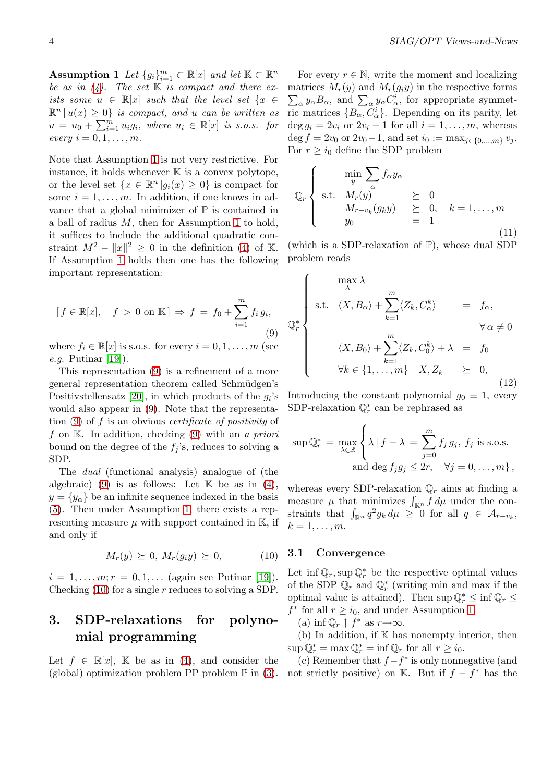<span id="page-3-0"></span>Assumption 1 Let  $\{g_i\}_{i=1}^m \subset \mathbb{R}[x]$  and let  $\mathbb{K} \subset \mathbb{R}^n$ be as in  $(4)$ . The set K is compact and there exists some  $u \in \mathbb{R}[x]$  such that the level set  $\{x \in$  $\mathbb{R}^n | u(x) \geq 0$  is compact, and u can be written as  $u = u_0 + \sum_{i=1}^{m}$  $\sum_{i=1}^{m} u_i g_i$ , where  $u_i \in \mathbb{R}[x]$  is s.o.s. for every  $i = 0, 1, \ldots, m$  $i = 0, 1, \ldots, m$  $i = 0, 1, \ldots, m$ .

Note that Assumption 1 is not very restrictive. For instance, it holds whenever  $K$  is a convex polytope, or the level set  $\{x \in \mathbb{R}^n | g_i(x) \geq 0\}$  is compact for some  $i = 1, \ldots, m$ . In addition, if one knows in advance that a global m[ini](#page-2-0)mizer of  $\mathbb P$  is contained in a ball of radius  $M$ , then for Assumption 1 to hold, it suffices to include the additional quadratic constraint  $M^2 - ||x||^2 \geq 0$  in the definition (4) of K. If Assumption 1 holds then one has the [f](#page-2-0)ollowing important representation:

$$
[f \in \mathbb{R}[x], \quad f > 0 \text{ on } \mathbb{K}] \Rightarrow f = f_0 + \sum_{i=1}^m f_i g_i,
$$
\n(9)

where  $f_i \in \mathbb{R}[x]$  is s.o.s. for every  $i = 0, 1, \ldots, m$  (see *e.g.* Putinar  $[19]$ .

This representation (9) is a refinement of a more general representation theorem called Schmüdgen's Positivstellensatz [20], in which products of the  $g_i$ 's would also a[ppe](#page-6-0)ar in (9). Note that the representation (9) of f is an obvious *certificate* of *positivity* of f on  $K$ . In addition, checking (9) with an a priori bound on the degr[ee o](#page-6-0)f the  $f_i$ 's, reduces to solving a SDP.

The dual (functional analysis) analogue of (the algebraic) (9) is as follows: Let  $K$  be as in (4),  $y = \{y_{\alpha}\}\$ be an infinite sequence indexed in the basis (5). Then under Assumption 1, there exists a representing measure  $\mu$  with support contained in K[,](#page-1-0) if and only if

$$
M_r(y) \succeq 0, M_r(g_i y) \succeq 0,
$$
 (10)

 $i = 1, \ldots, m; r = 0, 1, \ldots$  (again see Putinar [19]). Checking  $(10)$  for a single r reduces to solving a SDP.

# 3. SDP-relaxations for poly[no](#page-6-0)mial programming

Let  $f \in \mathbb{R}[x]$ , K be as in (4), and consider the (global) optimization problem PP problem  $\mathbb P$  in (3).

For every  $r \in \mathbb{N}$ , write the moment and localizing matrices  $M_r(y)$  and  $M_r(g_iy)$  in the respective forms attices  $m_r(y)$  and  $m_r(y_iy)$  in the respective forms  $\alpha y_\alpha B_\alpha$ , and  $\sum_\alpha y_\alpha C^i_\alpha$ , for appropriate symmetric matrices  $\{B_{\alpha}, \tilde{C}_{\alpha}^{i}\}.$  Depending on its parity, let  $\deg g_i = 2v_i$  or  $2v_i - 1$  for all  $i = 1, \ldots, m$ , whereas deg  $f = 2v_0$  or  $2v_0 - 1$ , and set  $i_0 := \max_{j \in \{0, ..., m\}} v_j$ . For  $r \geq i_0$  define the SDP problem

$$
\mathbb{Q}_r \left\{ \begin{array}{rcl} \min_{y} \sum_{\alpha} f_{\alpha} y_{\alpha} \\ \text{s.t.} & M_r(y) & \geq 0 \\ & M_{r-v_k}(g_k y) & \geq 0, \quad k = 1, \dots, m \\ y_0 & = 1 \end{array} \right. \tag{11}
$$

(which is a SDP-relaxation of  $\mathbb{P}$ ), whose dual SDP problem reads

$$
\mathbb{Q}_r^* \begin{cases}\n\max \lambda \\
\text{s.t.} \quad \langle X, B_\alpha \rangle + \sum_{k=1}^m \langle Z_k, C_\alpha^k \rangle & = f_\alpha, \\
\langle X, B_0 \rangle + \sum_{k=1}^m \langle Z_k, C_0^k \rangle + \lambda & = f_0 \\
\forall k \in \{1, ..., m\} \quad X, Z_k & \geq 0, \\
& (12)\n\end{cases}
$$

Introducing the constant polynomial  $g_0 \equiv 1$ , every SDP-relaxation  $\mathbb{Q}_r^*$  can be rephrased as

$$
\sup \mathbb{Q}_r^* = \max_{\lambda \in \mathbb{R}} \left\{ \lambda \, | \, f - \lambda = \sum_{j=0}^m f_j \, g_j, \, f_j \text{ is s.o.s.} \right\}
$$
  
and  $\deg f_j g_j \leq 2r, \quad \forall j = 0, \dots, m \},$ 

whereas every SDP-relaxation  $\mathbb{Q}_r$  aims at finding a whereas every SDP-relaxation  $\mathcal{Q}_r$  aims at inding a measure  $\mu$  that minimizes  $\int_{\mathbb{R}^n} f d\mu$  under the conmeasure  $\mu$  that minimizes  $\int_{\mathbb{R}^n} f d\mu$  under the constraints that  $\int_{\mathbb{R}^n} q^2 g_k d\mu \geq 0$  for all  $q \in \mathcal{A}_{r-v_k}$ ,  $k=1,\ldots,m$ .

#### 3.1 Convergence

 $\overline{a}$ 

Let  $\inf \mathbb{Q}_r$ , sup  $\mathbb{Q}_r^*$  be the respective optimal values of the SDP  $\mathbb{Q}_r$  and  $\mathbb{Q}_r^*$  (writing min and max if the optimal value is attained). Then  $\sup \mathbb{Q}_r^* \leq \inf \mathbb{Q}_r \leq$  $f^*$  for all  $r \geq i_0$ , and under Assumption 1,

(a) inf  $\mathbb{Q}_r \uparrow f^*$  as  $r \rightarrow \infty$ .

 $(b)$  In addition, if  $K$  has nonempty interior, then  $\sup \mathbb{Q}_r^* = \max \mathbb{Q}_r^* = \inf \mathbb{Q}_r$  for all  $r \geq i_0$ .

(c) Remember that  $f - f^*$  is only nonn[ega](#page-2-0)tive (and not strictly positive) on K. But if  $f - f^*$  has the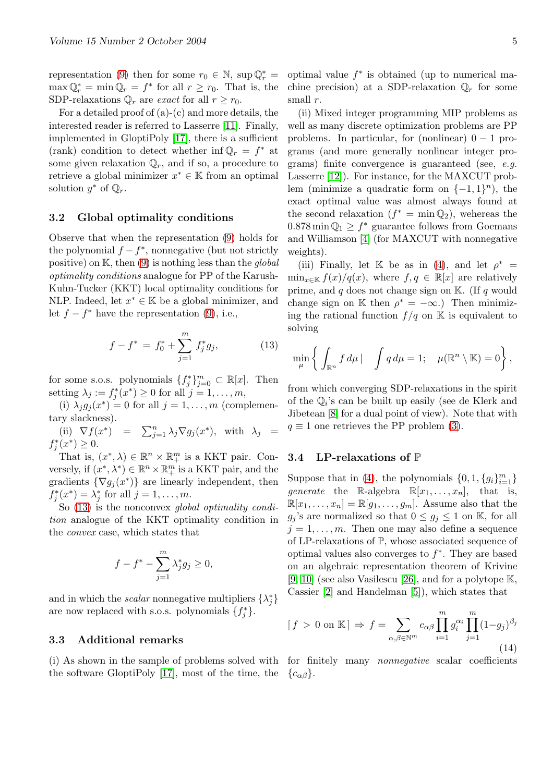<span id="page-4-0"></span>representation (9) then for some  $r_0 \in \mathbb{N}$ , sup  $\mathbb{Q}_r^* =$  $\max \mathbb{Q}_r^* = \min \mathbb{Q}_r = f^*$  for all  $r \ge r_0$ . That is, the SDP-relaxations  $\mathbb{Q}_r$  are *exact* for all  $r \geq r_0$ .

For a detailed proof of  $(a)-(c)$  and more details, the interested reade[r i](#page-3-0)s referred to Lasserre [11]. Finally, implemented in GloptiPoly [17], there is a sufficient (rank) condition to detect whether inf $\mathbb{Q}_r = f^*$  at some given relaxation  $\mathbb{Q}_r$ , and if so, a procedure to retrieve a global minimizer  $x^* \in \mathbb{K}$  $x^* \in \mathbb{K}$  fro[m an](#page-5-0) optimal solution  $y^*$  of  $\mathbb{Q}_r$ .

### 3.2 Global optimality conditions

Observe that when the representation (9) holds for the polynomial  $f - f^*$ , nonnegative (but not strictly positive) on  $\mathbb{K}$ , then (9) is nothing less than the *global* optimality conditions analogue for PP of the Karush-Kuhn-Tucker (KKT) local optimality c[on](#page-3-0)ditions for NLP. Indeed, let  $x^* \in \mathbb{K}$  be a global minimizer, and let  $f - f^*$  have the [rep](#page-3-0)resentation (9), i.e.,

$$
f - f^* = f_0^* + \sum_{j=1}^m f_j^* g_j,
$$
 (13)

for some s.o.s. polynomials  $\{f_j^*\}_{j=0}^m \subset \mathbb{R}[x]$ . Then setting  $\lambda_j := f_j^*(x^*) \geq 0$  for all  $j = 1, \ldots, m$ ,

(i)  $\lambda_j g_j(x^*) = 0$  for all  $j = 1, \ldots, m$  (complementary slackness).

(ii)  $\nabla f(x^*) = \sum_{j=1}^n \lambda_j \nabla g_j(x^*)$ , with  $\lambda_j =$  $f_j^*(x^*) \geq 0.$ 

That is,  $(x^*, \lambda) \in \mathbb{R}^n \times \mathbb{R}^m_+$  is a KKT pair. Conversely, if  $(x^*, \lambda^*) \in \mathbb{R}^n \times \mathbb{R}^m_+$  is a KKT pair, and the gradients  $\{\nabla g_j(x^*)\}$  are linearly independent, then  $f_j^*(x^*) = \lambda_j^*$  for all  $j = 1, \ldots, m$ .

So (13) is the nonconvex global optimality condition analogue of the KKT optimality condition in the convex case, which states that

$$
f - f^* - \sum_{j=1}^m \lambda_j^* g_j \ge 0,
$$

and in which the *scalar* nonnegative multipliers  $\{\lambda_j^*\}$ are now replaced with s.o.s. polynomials  $\{f_j^*\}.$ 

#### 3.3 Additional remarks

the software GloptiPoly [17], most of the time, the

optimal value  $f^*$  is obtained (up to numerical machine precision) at a SDP-relaxation  $\mathbb{Q}_r$  for some small r.

(ii) Mixed integer programming MIP problems as well as many discrete optimization problems are PP problems. In particular, for (nonlinear)  $0 - 1$  programs (and more generally nonlinear integer programs) finite convergence is guaranteed (see, e.g. Lasserre [12]). For instance, for the MAXCUT problem (minimize a quadratic form on  $\{-1,1\}^n$ ), the exact optimal value was almost always found at the second relaxation  $(f^* = \min \mathbb{Q}_2)$ , wehereas the  $0.878 \text{ min} \mathbb{Q}_1 \geq f^*$  $0.878 \text{ min} \mathbb{Q}_1 \geq f^*$  $0.878 \text{ min} \mathbb{Q}_1 \geq f^*$  guarantee follows from Goemans and Williamson [4] (for MAXCUT with nonnegative weights).

(iii) Finally, let K be as in (4), and let  $\rho^*$  =  $\min_{x \in \mathbb{K}} f(x)/q(x)$ , where  $f, q \in \mathbb{R}[x]$  are relatively prime, and  $q$  do[es n](#page-5-0)ot change sign on  $\mathbb{K}$ . (If q would change sign on K then  $\rho^* = -\infty$ .) Then minimizing the rational function  $f/q$  on [K](#page-1-0) is equivalent to solving

$$
\min_{\mu} \left\{ \int_{\mathbb{R}^n} f d\mu \, | \quad \int q d\mu = 1; \quad \mu(\mathbb{R}^n \setminus \mathbb{K}) = 0 \right\},
$$

from which converging SDP-relaxations in the spirit of the  $\mathbb{Q}_i$ 's can be built up easily (see de Klerk and Jibetean [8] for a dual point of view). Note that with  $q \equiv 1$  one retrieves the PP problem (3).

#### 3.4 L[P-r](#page-5-0)elaxations of P

Suppo[s](#page-1-0)e that in (4), the polynomials  $\{0, 1, \{g_i\}_{i=1}^m\}$ *generate* the R-algebra  $\mathbb{R}[x_1, \ldots, x_n]$ , that is,  $\mathbb{R}[x_1,\ldots,x_n]=\mathbb{R}[g_1,\ldots,g_m].$  Assume also that the  $g_j$ 's are normalized so that  $0 \le g_j \le 1$  on K, for all  $j = 1, \ldots, m$ . Th[en](#page-1-0) one may also define a sequence of LP-relaxations of P, whose associated sequence of optimal values also converges to  $f^*$ . They are based on an algebraic representation theorem of Krivine [9, 10] (see also Vasilescu [26], and for a polytope K, Cassier [2] and Handelman [5]), which states that

$$
[f > 0 \text{ on } \mathbb{K}] \Rightarrow f = \sum_{\alpha, \beta \in \mathbb{N}^m} c_{\alpha\beta} \prod_{i=1}^m g_i^{\alpha_i} \prod_{j=1}^m (1 - g_j)^{\beta_j}
$$
(14)

(i) As shown in the sample of problems solved with for finitely many *nonnegative* scalar coefficients  ${c_{\alpha\beta}}.$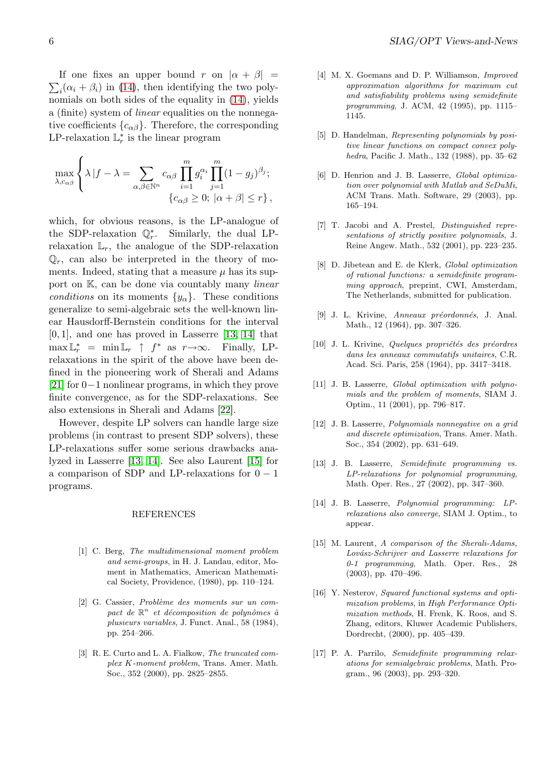<span id="page-5-0"></span> $\overline{ }$ If one fixes an upper bound r on  $|\alpha + \beta|$  =  $i(\alpha_i + \beta_i)$  in (14), then identifying the two polynomials on both sides of the equality in (14), yields a (finite) system of linear equalities on the nonnegative coefficients  $\{c_{\alpha\beta}\}\.$  Therefore, the corresponding LP-relaxation  $\mathbb{L}_r^*$  [is](#page-4-0) the linear program

$$
\max_{\lambda, c_{\alpha\beta}} \left\{ \lambda |f - \lambda = \sum_{\alpha, \beta \in \mathbb{N}^n} c_{\alpha\beta} \prod_{i=1}^m g_i^{\alpha_i} \prod_{j=1}^m (1 - g_j)^{\beta_j}; \right\}\n\{c_{\alpha\beta} \ge 0; |\alpha + \beta| \le r \},\
$$

which, for obvious reasons, is the LP-analogue of the SDP-relaxation  $\mathbb{Q}_r^*$ . Similarly, the dual LPrelaxation  $\mathbb{L}_r$ , the analogue of the SDP-relaxation  $\mathbb{Q}_r$ , can also be interpreted in the theory of moments. Indeed, stating that a measure  $\mu$  has its support on K, can be done via countably many *linear* conditions on its moments  $\{y_\alpha\}$ . These conditions generalize to semi-algebraic sets the well-known linear Hausdorff-Bernstein conditions for the interval [0, 1], and one has proved in Lasserre [13, 14] that  $\max \mathbb{L}_r^* = \min \mathbb{L}_r \uparrow f^*$  as  $r \to \infty$ . Finally, LPrelaxations in the spirit of the above have been defined in the pioneering work of Sherali and Adams [21] for 0−1 nonlinear programs, in which they prove finite convergence, as for the SDP-relaxations. See also extensions in Sherali and Adams [22].

However, despite LP solvers can handle large size [pro](#page-6-0)blems (in contrast to present SDP solvers), these LP-relaxations suffer some serious drawbacks analyzed in Lasserre [13, 14]. See also L[aure](#page-6-0)nt [15] for a comparison of SDP and LP-relaxations for  $0 - 1$ programs.

#### REFERENCES

- [1] C. Berg, The multidimensional moment problem and semi-groups, in H. J. Landau, editor, Moment in Mathematics, American Mathematical Society, Providence, (1980), pp. 110–124.
- [2] G. Cassier, Problème des moments sur un compact de  $\mathbb{R}^n$  et décomposition de polynômes à plusieurs variables, J. Funct. Anal., 58 (1984), pp. 254–266.
- [3] R. E. Curto and L. A. Fialkow, The truncated complex K-moment problem, Trans. Amer. Math. Soc., 352 (2000), pp. 2825–2855.
- [4] M. X. Goemans and D. P. Williamson, *Improved* approximation algorithms for maximum cut and satisfiability problems using semidefinite programming, J. ACM, 42 (1995), pp. 1115– 1145.
- [5] D. Handelman, Representing polynomials by positive linear functions on compact convex polyhedra, Pacific J. Math., 132 (1988), pp. 35–62
- [6] D. Henrion and J. B. Lasserre, Global optimization over polynomial with Matlab and SeDuMi, ACM Trans. Math. Software, 29 (2003), pp. 165–194.
- [7] T. Jacobi and A. Prestel, Distinguished representations of strictly positive polynomials, J. Reine Angew. Math., 532 (2001), pp. 223–235.
- [8] D. Jibetean and E. de Klerk, Global optimization of rational functions: a semidefinite programming approach, preprint, CWI, Amsterdam, The Netherlands, submitted for publication.
- [9] J. L. Krivine, Anneaux préordonnés, J. Anal. Math., 12 (1964), pp. 307–326.
- $[10]$  J. L. Krivine, Quelques propriétés des préordres dans les anneaux commutatifs unitaires, C.R. Acad. Sci. Paris, 258 (1964), pp. 3417–3418.
- [11] J. B. Lasserre, *Global optimization with polyno*mials and the problem of moments, SIAM J. Optim., 11 (2001), pp. 796–817.
- [12] J. B. Lasserre, Polynomials nonnegative on a grid and discrete optimization, Trans. Amer. Math. Soc., 354 (2002), pp. 631–649.
- [13] J. B. Lasserre, Semidefinite programming vs. LP-relaxations for polynomial programming, Math. Oper. Res., 27 (2002), pp. 347–360.
- [14] J. B. Lasserre, Polynomial programming: LPrelaxations also converge, SIAM J. Optim., to appear.
- [15] M. Laurent, A comparison of the Sherali-Adams, Lovász-Schrijver and Lasserre relaxations for 0-1 programming, Math. Oper. Res., 28 (2003), pp. 470–496.
- [16] Y. Nesterov, *Squared functional systems and opti*mization problems, in High Performance Optimization methods, H. Frenk, K. Roos, and S. Zhang, editors, Kluwer Academic Publishers, Dordrecht, (2000), pp. 405–439.
- [17] P. A. Parrilo, Semidefinite programming relaxations for semialgebraic problems, Math. Program., 96 (2003), pp. 293–320.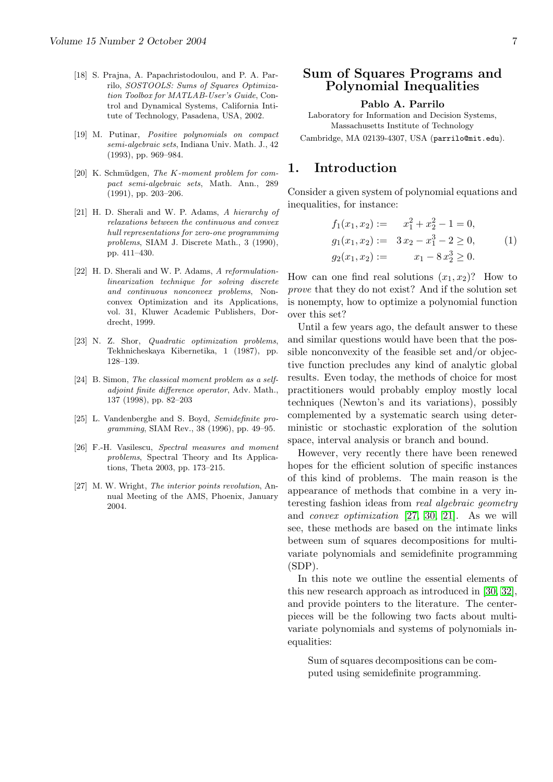- <span id="page-6-0"></span>[18] S. Prajna, A. Papachristodoulou, and P. A. Parrilo, SOSTOOLS: Sums of Squares Optimization Toolbox for MATLAB-User's Guide, Control and Dynamical Systems, California Intitute of Technology, Pasadena, USA, 2002.
- [19] M. Putinar, Positive polynomials on compact semi-algebraic sets, Indiana Univ. Math. J., 42 (1993), pp. 969–984.
- $[20]$  K. Schmüdgen, The K-moment problem for compact semi-algebraic sets, Math. Ann., 289 (1991), pp. 203–206.
- [21] H. D. Sherali and W. P. Adams, A hierarchy of relaxations between the continuous and convex hull representations for zero-one programmimg problems, SIAM J. Discrete Math., 3 (1990), pp. 411–430.
- [22] H. D. Sherali and W. P. Adams, A reformulationlinearization technique for solving discrete and continuous nonconvex problems, Nonconvex Optimization and its Applications, vol. 31, Kluwer Academic Publishers, Dordrecht, 1999.
- [23] N. Z. Shor, Quadratic optimization problems, Tekhnicheskaya Kibernetika, 1 (1987), pp. 128–139.
- [24] B. Simon, The classical moment problem as a selfadjoint finite difference operator, Adv. Math., 137 (1998), pp. 82–203
- [25] L. Vandenberghe and S. Boyd, Semidefinite programming, SIAM Rev., 38 (1996), pp. 49–95.
- [26] F.-H. Vasilescu, Spectral measures and moment problems, Spectral Theory and Its Applications, Theta 2003, pp. 173–215.
- [27] M. W. Wright, The interior points revolution, Annual Meeting of the AMS, Phoenix, January 2004.

### Sum of Squares Programs and Polynomial Inequalities

#### Pablo A. Parrilo

Laboratory for Information and Decision Systems, Massachusetts Institute of Technology

Cambridge, MA 02139-4307, USA (parrilo@mit.edu).

### 1. Introduction

Consider a given system of polynomial equations and inequalities, for instance:

$$
f_1(x_1, x_2) := x_1^2 + x_2^2 - 1 = 0,
$$
  
\n
$$
g_1(x_1, x_2) := 3x_2 - x_1^3 - 2 \ge 0,
$$
  
\n
$$
g_2(x_1, x_2) := x_1 - 8x_2^3 \ge 0.
$$
\n(1)

How can one find real solutions  $(x_1, x_2)$ ? How to prove that they do not exist? And if the solution set is nonempty, how to optimize a polynomial function over this set?

Until a few years ago, the default answer to these and similar questions would have been that the possible nonconvexity of the feasible set and/or objective function precludes any kind of analytic global results. Even today, the methods of choice for most practitioners would probably employ mostly local techniques (Newton's and its variations), possibly complemented by a systematic search using deterministic or stochastic exploration of the solution space, interval analysis or branch and bound.

However, very recently there have been renewed hopes for the efficient solution of specific instances of this kind of problems. The main reason is the appearance of methods that combine in a very interesting fashion ideas from real algebraic geometry and convex optimization [27, 30, 21]. As we will see, these methods are based on the intimate links between sum of squares decompositions for multivariate polynomials and s[emidefi](#page-13-0)n[ite](#page-13-0) programming (SDP).

In this note we outline the essential elements of this new research approach as introduced in [30, 32], and provide pointers to the literature. The centerpieces will be the following two facts about multivariate polynomials and systems of polyno[mials in](#page-13-0)equalities:

Sum of squares decompositions can be computed using semidefinite programming.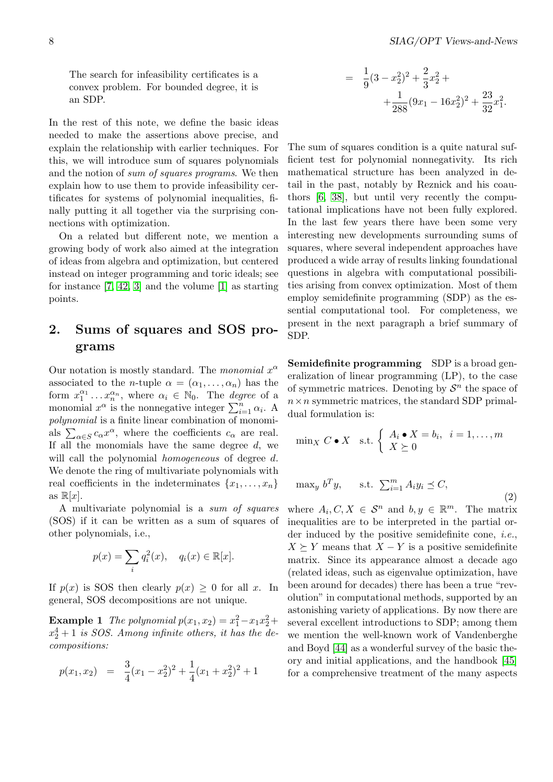<span id="page-7-0"></span>The search for infeasibility certificates is a convex problem. For bounded degree, it is an SDP.

In the rest of this note, we define the basic ideas needed to make the assertions above precise, and explain the relationship with earlier techniques. For this, we will introduce sum of squares polynomials and the notion of sum of squares programs. We then explain how to use them to provide infeasibility certificates for systems of polynomial inequalities, finally putting it all together via the surprising connections with optimization.

On a related but different note, we mention a growing body of work also aimed at the integration of ideas from algebra and optimization, but centered instead on integer programming and toric ideals; see for instance [7, 42, 3] and the volume [1] as starting points.

# 2. Sum[s](#page-12-0) [of](#page-14-0) [sq](#page-12-0)uares and [SO](#page-12-0)S programs

Our notation is mostly standard. The *monomial*  $x^{\alpha}$ associated to the *n*-tuple  $\alpha = (\alpha_1, \ldots, \alpha_n)$  has the form  $x_1^{\alpha_1} \dots x_n^{\alpha_n}$ , where  $\alpha_i \in \mathbb{N}_0$ . The *degree* of a nonomial  $x^{\alpha}$  is the nonnegative integer  $\sum_{i=1}^{n} \alpha_i$ . A polynomial is a finite linear combination of monomi*porynomial* is a limite linear combination of monomi-<br>als  $\sum_{\alpha \in S} c_{\alpha} x^{\alpha}$ , where the coefficients  $c_{\alpha}$  are real. If all the monomials have the same degree  $d$ , we will call the polynomial *homogeneous* of degree d. We denote the ring of multivariate polynomials with real coefficients in the indeterminates  $\{x_1, \ldots, x_n\}$ as  $\mathbb{R}[x]$ .

A multivariate polynomial is a sum of squares (SOS) if it can be written as a sum of squares of other polynomials, i.e.,

$$
p(x) = \sum_{i} q_i^2(x), \quad q_i(x) \in \mathbb{R}[x].
$$

If  $p(x)$  is SOS then clearly  $p(x) \geq 0$  for all x. In general, SOS decompositions are not unique.

**Example 1** The polynomial  $p(x_1, x_2) = x_1^2 - x_1x_2^2 +$  $x_2^4 + 1$  is SOS. Among infinite others, it has the decompositions:

$$
p(x_1, x_2) = \frac{3}{4}(x_1 - x_2^2)^2 + \frac{1}{4}(x_1 + x_2^2)^2 + 1
$$

$$
= \frac{1}{9}(3-x_2^2)^2 + \frac{2}{3}x_2^2 +
$$
  
 
$$
+ \frac{1}{288}(9x_1 - 16x_2^2)^2 + \frac{23}{32}x_1^2.
$$

The sum of squares condition is a quite natural sufficient test for polynomial nonnegativity. Its rich mathematical structure has been analyzed in detail in the past, notably by Reznick and his coauthors [6, 38], but until very recently the computational implications have not been fully explored. In the last few years there have been some very interesting new developments surrounding sums of square[s,](#page-12-0) [whe](#page-13-0)re several independent approaches have produced a wide array of results linking foundational questions in algebra with computational possibilities arising from convex optimization. Most of them employ semidefinite programming (SDP) as the essential computational tool. For completeness, we present in the next paragraph a brief summary of SDP.

Semidefinite programming SDP is a broad generalization of linear programming (LP), to the case of symmetric matrices. Denoting by  $S<sup>n</sup>$  the space of  $n \times n$  symmetric matrices, the standard SDP primaldual formulation is:

$$
\min_X C \bullet X \quad \text{s.t.} \begin{cases} A_i \bullet X = b_i, & i = 1, \dots, m \\ X \succeq 0 \end{cases}
$$

$$
\max_{y} b^T y, \quad \text{s.t. } \sum_{i=1}^m A_i y_i \preceq C,
$$
\n(2)

where  $A_i, C, X \in \mathcal{S}^n$  and  $b, y \in \mathbb{R}^m$ . The matrix inequalities are to be interpreted in the partial order induced by the positive semidefinite cone, *i.e.*,  $X \succeq Y$  means that  $X - Y$  is a positive semidefinite matrix. Since its appearance almost a decade ago (related ideas, such as eigenvalue optimization, have been around for decades) there has been a true "revolution" in computational methods, supported by an astonishing variety of applications. By now there are several excellent introductions to SDP; among them we mention the well-known work of Vandenberghe and Boyd [44] as a wonderful survey of the basic theory and initial applications, and the handbook [45] for a comprehensive treatment of the many aspects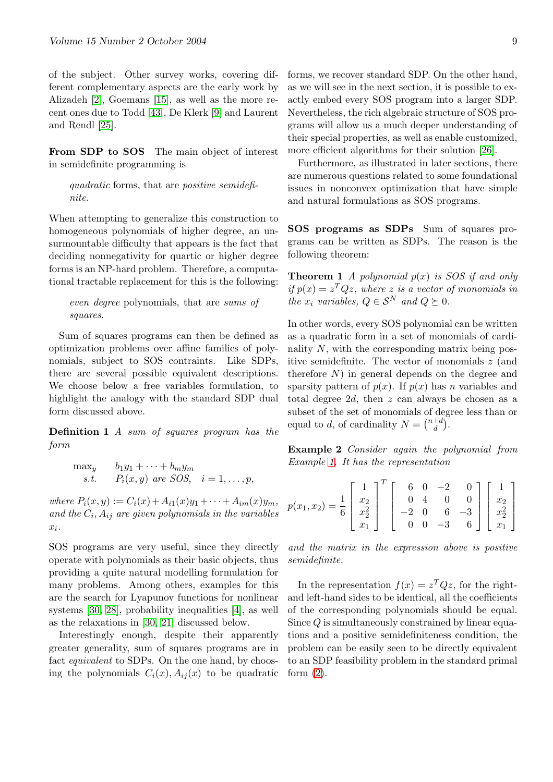of the subject. Other survey works, covering different complementary aspects are the early work by Alizadeh [2], Goemans [15], as well as the more recent ones due to Todd [43], De Klerk [9] and Laurent and Rendl [25].

From S[DP](#page-12-0) to SOS [Th](#page-13-0)e main ob[je](#page-12-0)ct of interest in semidefi[nite](#page-13-0) progra[mm](#page-14-0)ing is

quadratic forms, that are *positive semidefi*nite.

When attempting to generalize this construction to homogeneous polynomials of higher degree, an unsurmountable difficulty that appears is the fact that deciding nonnegativity for quartic or higher degree forms is an NP-hard problem. Therefore, a computational tractable replacement for this is the following:

even degree polynomials, that are sums of squares.

Sum of squares programs can then be defined as optimization problems over affine families of polynomials, subject to SOS contraints. Like SDPs, there are several possible equivalent descriptions. We choose below a free variables formulation, to highlight the analogy with the standard SDP dual form discussed above.

Definition 1 A sum of squares program has the form

$$
\begin{array}{ll}\n\max_{y} & b_1y_1 + \dots + b_my_m \\
\text{s.t.} & P_i(x, y) \text{ are SOS}, \quad i = 1, \dots, p,\n\end{array}
$$

where  $P_i(x, y) := C_i(x) + A_{i1}(x)y_1 + \cdots + A_{im}(x)y_m$ , and the  $C_i$ ,  $A_{ij}$  are given polynomials in the variables  $x_i$ .

SOS programs are very useful, since they directly operate with polynomials as their basic objects, thus providing a quite natural modelling formulation for many problems. Among others, examples for this are the search for Lyapunov functions for nonlinear systems [30, 28], probability inequalities [4], as well as the relaxations in [30, 21] discussed below.

Interestingly enough, despite their apparently greater generality, sum of squares programs are in fact *equi[valent](#page-13-0)* to SDPs. On the one hand[, b](#page-12-0)y choosing the polynomials  $C_i(x)$  $C_i(x)$  $C_i(x)$  $C_i(x)$ ,  $A_{ij}(x)$  to be quadratic

forms, we recover standard SDP. On the other hand, as we will see in the next section, it is possible to exactly embed every SOS program into a larger SDP. Nevertheless, the rich algebraic structure of SOS programs will allow us a much deeper understanding of their special properties, as well as enable customized, more efficient algorithms for their solution [26].

Furthermore, as illustrated in later sections, there are numerous questions related to some foundational issues in nonconvex optimization that hav[e s](#page-13-0)imple and natural formulations as SOS programs.

SOS programs as SDPs Sum of squares programs can be written as SDPs. The reason is the following theorem:

**Theorem 1** A polynomial  $p(x)$  is SOS if and only if  $p(x) = z^T Q z$ , where z is a vector of monomials in the  $x_i$  variables,  $Q \in S^N$  and  $Q \succeq 0$ .

In other words, every SOS polynomial can be written as a quadratic form in a set of monomials of cardinality  $N$ , with the corresponding matrix being positive semidefinite. The vector of monomials z (and therefore  $N$ ) in general depends on the degree and sparsity pattern of  $p(x)$ . If  $p(x)$  has n variables and total degree 2d, then z can always be chosen as a subset of the set of monomials of degree less than or equal to d, of cardinality  $N = \binom{n+d}{d}$  $\binom{+d}{d}$ .

Example 2 Consider again the polynomial from Example 1. It has the representation

$$
p(x_1, x_2) = \frac{1}{6} \begin{bmatrix} 1 \\ x_2 \\ x_2 \\ x_1 \end{bmatrix}^T \begin{bmatrix} 6 & 0 & -2 & 0 \\ 0 & 4 & 0 & 0 \\ -2 & 0 & 6 & -3 \\ 0 & 0 & -3 & 6 \end{bmatrix} \begin{bmatrix} 1 \\ x_2 \\ x_2 \\ x_1 \end{bmatrix}
$$

and the matrix in the expression above is positive semidefinite.

In the representation  $f(x) = z^T Q z$ , for the rightand left-hand sides to be identical, all the coefficients of the corresponding polynomials should be equal. Since Q is simultaneously constrained by linear equations and a positive semidefiniteness condition, the problem can be easily seen to be directly equivalent to an SDP feasibility problem in the standard primal form  $(2)$ .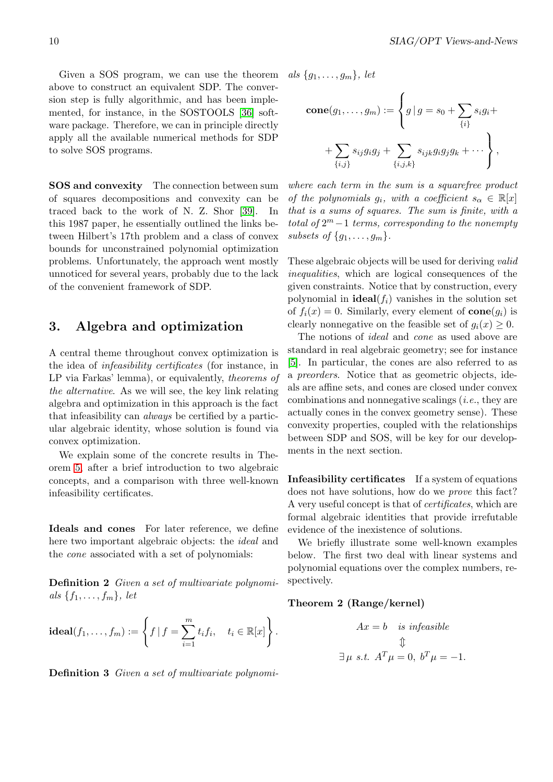<span id="page-9-0"></span>Given a SOS program, we can use the theorem above to construct an equivalent SDP. The conversion step is fully algorithmic, and has been implemented, for instance, in the SOSTOOLS [36] software package. Therefore, we can in principle directly apply all the available numerical methods for SDP to solve SOS programs.

SOS and convexity The connection between sum of squares decompositions and convexity can be traced back to the work of N. Z. Shor [39]. In this 1987 paper, he essentially outlined the links between Hilbert's 17th problem and a class of convex bounds for unconstrained polynomial optimization problems. Unfortunately, the approach we[nt m](#page-13-0)ostly unnoticed for several years, probably due to the lack of the convenient framework of SDP.

### 3. Algebra and optimization

A central theme throughout convex optimization is the idea of infeasibility certificates (for instance, in LP via Farkas' lemma), or equivalently, theorems of the alternative. As we will see, the key link relating algebra and optimization in this approach is the fact that infeasibility can *always* be certified by a particular algebraic identity, whose solution is found via convex optimization.

We explain some of the concrete results in Theorem 5, after a brief introduction to two algebraic concepts, and a comparison with three well-known infeasibility certificates.

Ideals and cones For later reference, we define here two important algebraic objects: the ideal and the cone associated with a set of polynomials:

**Definition 2** Given a set of multivariate polynomials  $\{f_1, \ldots, f_m\}$ , let

$$
\mathbf{ideal}(f_1,\ldots,f_m):=\left\{f\,|\,f=\sum_{i=1}^m t_if_i,\quad t_i\in\mathbb{R}[x]\right\}.
$$

Definition 3 Given a set of multivariate polynomi-

als  ${g_1, \ldots, g_m}$ , let

$$
cone(g_1, \ldots, g_m) := \left\{ g \mid g = s_0 + \sum_{\{i\}} s_i g_i + \right.+ \sum_{\{i,j\}} s_{ij} g_i g_j + \sum_{\{i,j,k\}} s_{ijk} g_i g_j g_k + \cdots \right\},
$$

 $\overline{a}$ 

where each term in the sum is a squarefree product of the polynomials  $g_i$ , with a coefficient  $s_\alpha \in \mathbb{R}[x]$ that is a sums of squares. The sum is finite, with a total of  $2^m - 1$  terms, corresponding to the nonempty subsets of  $\{g_1, \ldots, g_m\}.$ 

These algebraic objects will be used for deriving *valid* inequalities, which are logical consequences of the given constraints. Notice that by construction, every polynomial in **ideal**( $f_i$ ) vanishes in the solution set of  $f_i(x) = 0$ . Similarly, every element of  $cone(g_i)$  is clearly nonnegative on the feasible set of  $q_i(x) \geq 0$ .

The notions of ideal and cone as used above are standard in real algebraic geometry; see for instance [5]. In particular, the cones are also referred to as a preorders. Notice that as geometric objects, ideals are affine sets, and cones are closed under convex combinations and nonnegative scalings (i.e., they are [ac](#page-12-0)tually cones in the convex geometry sense). These convexity properties, coupled with the relationships between SDP and SOS, will be key for our developments in the next section.

Infeasibility certificates If a system of equations does not have solutions, how do we prove this fact? A very useful concept is that of *certificates*, which are formal algebraic identities that provide irrefutable evidence of the inexistence of solutions.

We briefly illustrate some well-known examples below. The first two deal with linear systems and polynomial equations over the complex numbers, respectively.

### Theorem 2 (Range/kernel)

$$
Ax = b \quad \text{is infeasible}
$$

$$
\Downarrow
$$

$$
\exists \mu \text{ s.t. } A^T \mu = 0, \ b^T \mu = -1.
$$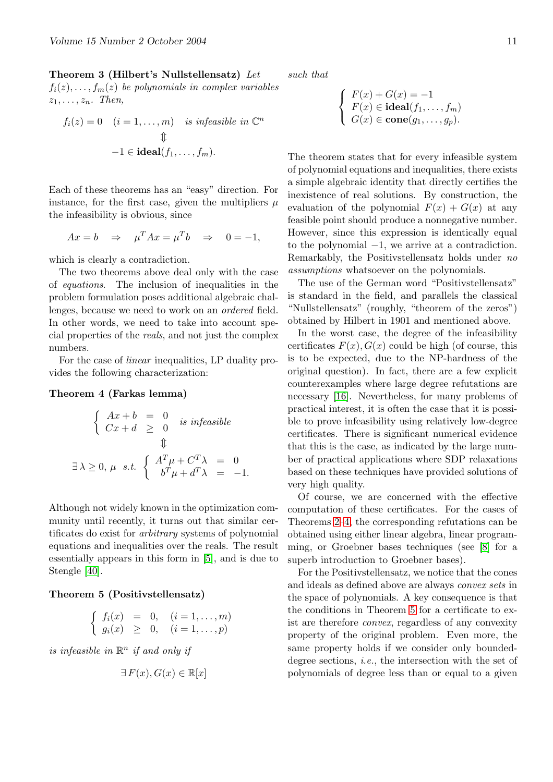Theorem 3 (Hilbert's Nullstellensatz) Let  $f_i(z), \ldots, f_m(z)$  be polynomials in complex variables  $z_1, \ldots, z_n$ . Then,

$$
f_i(z) = 0 \quad (i = 1, ..., m) \quad \text{is infeasible in } \mathbb{C}^n
$$

$$
\updownarrow
$$

$$
-1 \in \mathbf{ideal}(f_1, ..., f_m).
$$

Each of these theorems has an "easy" direction. For instance, for the first case, given the multipliers  $\mu$ the infeasibility is obvious, since

$$
Ax = b \quad \Rightarrow \quad \mu^T Ax = \mu^T b \quad \Rightarrow \quad 0 = -1,
$$

which is clearly a contradiction.

The two theorems above deal only with the case of equations. The inclusion of inequalities in the problem formulation poses additional algebraic challenges, because we need to work on an ordered field. In other words, we need to take into account special properties of the reals, and not just the complex numbers.

For the case of linear inequalities, LP duality provides the following characterization:

### Theorem 4 (Farkas lemma)

$$
\begin{cases}\nAx + b = 0 \\
Cx + d \ge 0\n\end{cases}
$$
 is infeasible  
\n
$$
\begin{cases}\nA^T \mu + C^T \lambda = 0 \\
b^T \mu + d^T \lambda = -1.\n\end{cases}
$$

Although not widely known in the optimization community until recently, it turns out that similar certificates do exist for arbitrary systems of polynomial equations and inequalities over the reals. The result essentially appears in this form in [5], and is due to Stengle [40].

#### Theorem 5 (Positivstellensatz)

$$
\begin{cases} f_i(x) = 0, & (i = 1, ..., m) \\ g_i(x) \geq 0, & (i = 1, ..., p) \end{cases}
$$

is infeasible in  $\mathbb{R}^n$  if and only if

$$
\exists F(x), G(x) \in \mathbb{R}[x]
$$

such that

$$
\begin{cases}\nF(x) + G(x) = -1 \\
F(x) \in \mathbf{ideal}(f_1, \dots, f_m) \\
G(x) \in \mathbf{cone}(g_1, \dots, g_p).\n\end{cases}
$$

The theorem states that for every infeasible system of polynomial equations and inequalities, there exists a simple algebraic identity that directly certifies the inexistence of real solutions. By construction, the evaluation of the polynomial  $F(x) + G(x)$  at any feasible point should produce a nonnegative number. However, since this expression is identically equal to the polynomial −1, we arrive at a contradiction. Remarkably, the Positivstellensatz holds under no assumptions whatsoever on the polynomials.

The use of the German word "Positivstellensatz" is standard in the field, and parallels the classical "Nullstellensatz" (roughly, "theorem of the zeros") obtained by Hilbert in 1901 and mentioned above.

In the worst case, the degree of the infeasibility certificates  $F(x)$ ,  $G(x)$  could be high (of course, this is to be expected, due to the NP-hardness of the original question). In fact, there are a few explicit counterexamples where large degree refutations are necessary [16]. Nevertheless, for many problems of practical interest, it is often the case that it is possible to prove infeasibility using relatively low-degree certificates. There is significant numerical evidence that this i[s th](#page-13-0)e case, as indicated by the large number of practical applications where SDP relaxations based on these techniques have provided solutions of very high quality.

Of course, we are concerned with the effective computation of these certificates. For the cases of Theorems 2–4, the corresponding refutations can be obtained using either linear algebra, linear programming, or Groebner bases techniques (see [8] for a superb introduction to Groebner bases).

For the [Po](#page-9-0)sitivstellensatz, we notice that the cones and ideals as defined above are always convex sets in the space of polynomials. A key consequenc[e](#page-12-0) is that the conditions in Theorem 5 for a certificate to exist are therefore convex, regardless of any convexity property of the original problem. Even more, the same property holds if we consider only boundeddegree sections, *i.e.*, the intersection with the set of polynomials of degree less than or equal to a given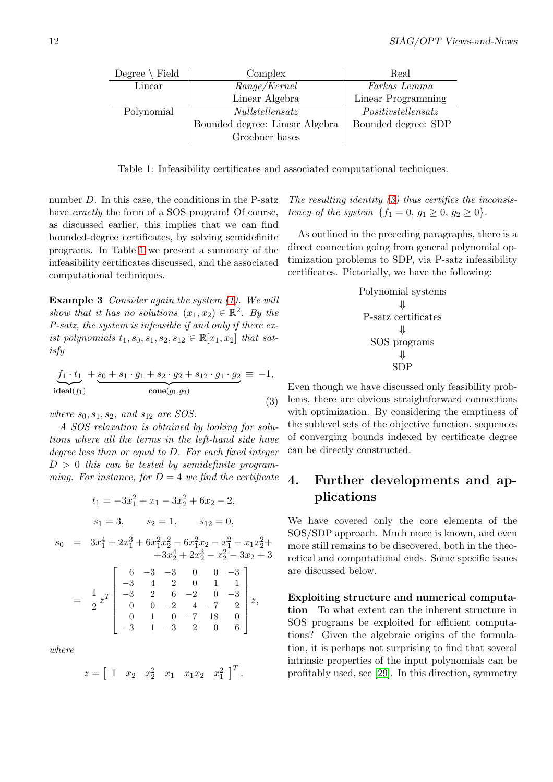| Degree $\setminus$ Field | Complex                        | Real                |
|--------------------------|--------------------------------|---------------------|
| Linear                   | Range/Kernel                   | Farkas Lemma        |
|                          | Linear Algebra                 | Linear Programming  |
| Polynomial               | Nullstellensatz                | Positivstellensatz  |
|                          | Bounded degree: Linear Algebra | Bounded degree: SDP |
|                          | Groebner bases                 |                     |

Table 1: Infeasibility certificates and associated computational techniques.

number D. In this case, the conditions in the P-satz have *exactly* the form of a SOS program! Of course, as discussed earlier, this implies that we can find bounded-degree certificates, by solving semidefinite programs. In Table 1 we present a summary of the infeasibility certificates discussed, and the associated computational techniques.

Example 3 Consider again the system (1). We will show that it has no solutions  $(x_1, x_2) \in \mathbb{R}^2$ . By the P-satz, the system is infeasible if and only if there exist polynomials  $t_1, s_0, s_1, s_2, s_{12} \in \mathbb{R}[x_1, x_2]$  $t_1, s_0, s_1, s_2, s_{12} \in \mathbb{R}[x_1, x_2]$  $t_1, s_0, s_1, s_2, s_{12} \in \mathbb{R}[x_1, x_2]$  that satisfy

$$
\underbrace{f_1 \cdot t_1}_{\text{ideal}(f_1)} + \underbrace{s_0 + s_1 \cdot g_1 + s_2 \cdot g_2 + s_{12} \cdot g_1 \cdot g_2}_{\text{cone}(g_1, g_2)} \equiv -1,
$$
\n(3)

where  $s_0, s_1, s_2,$  and  $s_{12}$  are SOS.

A SOS relaxation is obtained by looking for solutions where all the terms in the left-hand side have degree less than or equal to D. For each fixed integer  $D > 0$  this can be tested by semidefinite programming. For instance, for  $D = 4$  we find the certificate

$$
t_1 = -3x_1^2 + x_1 - 3x_2^2 + 6x_2 - 2,
$$
  
\n
$$
s_1 = 3, \t s_2 = 1, \t s_{12} = 0,
$$
  
\n
$$
s_0 = 3x_1^4 + 2x_1^3 + 6x_1^2x_2^2 - 6x_1^2x_2 - x_1^2 - x_1x_2^2 +
$$
  
\n
$$
+3x_2^4 + 2x_2^3 - x_2^2 - 3x_2 + 3
$$
  
\n
$$
= \frac{1}{2}z^T \begin{bmatrix} 6 & -3 & -3 & 0 & 0 & -3 \\ -3 & 4 & 2 & 0 & 1 & 1 \\ -3 & 2 & 6 & -2 & 0 & -3 \\ 0 & 0 & -2 & 4 & -7 & 2 \\ 0 & 1 & 0 & -7 & 18 & 0 \\ -3 & 1 & -3 & 2 & 0 & 6 \end{bmatrix} z,
$$

where

$$
z = [1 \quad x_2 \quad x_2^2 \quad x_1 \quad x_1 x_2 \quad x_1^2 ]^T.
$$

The resulting identity  $(3)$  thus certifies the inconsistency of the system  ${f_1 = 0, g_1 \geq 0, g_2 \geq 0}.$ 

As outlined in the preceding paragraphs, there is a direct connection goin[g f](#page-1-0)rom general polynomial optimization problems to SDP, via P-satz infeasibility certificates. Pictorially, we have the following:

Polynomial systems

\n
$$
\Downarrow
$$
\nP-satz certificates

\n
$$
\Downarrow
$$
\nSOS programs

\n
$$
\Downarrow
$$
\nSDP

Even though we have discussed only feasibility problems, there are obvious straightforward connections with optimization. By considering the emptiness of the sublevel sets of the objective function, sequences of converging bounds indexed by certificate degree can be directly constructed.

## 4. Further developments and applications

We have covered only the core elements of the SOS/SDP approach. Much more is known, and even more still remains to be discovered, both in the theoretical and computational ends. Some specific issues are discussed below.

Exploiting structure and numerical computation To what extent can the inherent structure in SOS programs be exploited for efficient computations? Given the algebraic origins of the formulation, it is perhaps not surprising to find that several intrinsic properties of the input polynomials can be profitably used, see [29]. In this direction, symmetry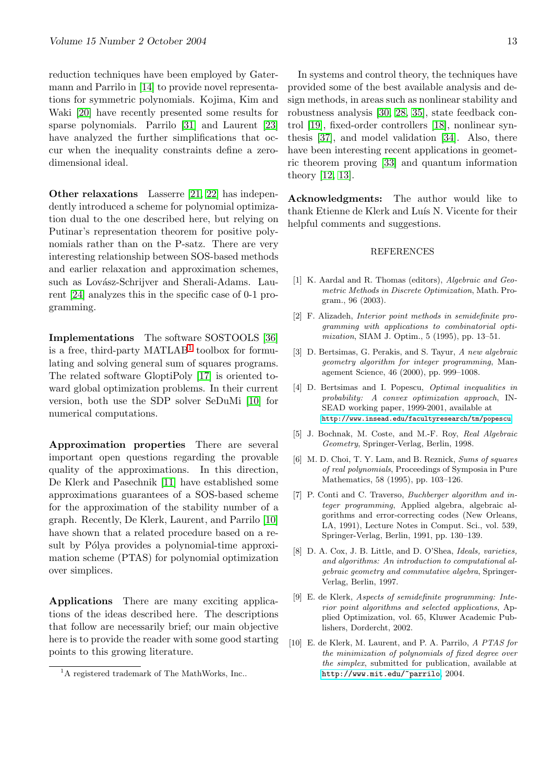<span id="page-12-0"></span>reduction techniques have been employed by Gatermann and Parrilo in [14] to provide novel representations for symmetric polynomials. Kojima, Kim and Waki [20] have recently presented some results for sparse polynomials. Parrilo [31] and Laurent [23] have analyzed the f[urt](#page-13-0)her simplifications that occur when the inequality constraints define a zerodimen[sion](#page-13-0)al ideal.

Other relaxations Lasserre [21, 22] has independently introduced a scheme for polynomial optimization dual to the one described here, but relying on Putinar's representation theorem for positive polynomials rather than on the P-s[atz. T](#page-13-0)here are very interesting relationship between SOS-based methods and earlier relaxation and approximation schemes, such as Lovász-Schrijver and Sherali-Adams. Laurent [24] analyzes this in the specific case of 0-1 programming.

Imp[lem](#page-13-0)entations The software SOSTOOLS [36] is a free, third-party  $\text{MATLAB}^1$  toolbox for formulating and solving general sum of squares programs. The related software GloptiPoly [17] is oriented toward global optimization problems. In their curr[ent](#page-13-0) version, both use the SDP solver SeDuMi [10] for numerical computations.

Approximation properties There are [sev](#page-14-0)eral important open questions regarding the provable quality of the approximations. In this direction, De Klerk and Pasechnik [11] have established some approximations guarantees of a SOS-based scheme for the approximation of the stability number of a graph. Recently, De Klerk, Laurent, and Parrilo [10] have shown that a relate[d pr](#page-13-0)ocedure based on a result by Pólya provides a polynomial-time approximation scheme (PTAS) for polynomial optimization over simplices.

Applications There are many exciting applications of the ideas described here. The descriptions that follow are necessarily brief; our main objective here is to provide the reader with some good starting points to this growing literature.

In systems and control theory, the techniques have provided some of the best available analysis and design methods, in areas such as nonlinear stability and robustness analysis [30, 28, 35], state feedback control [19], fixed-order controllers [18], nonlinear synthesis [37], and model validation [34]. Also, there have been interesting recent applications in geometric theorem proving [\[33\] and q](#page-13-0)u[ant](#page-13-0)um information theo[ry \[12](#page-13-0), 13].

Acknowledgments: The author would like to thank Etienne de Kle[rk a](#page-13-0)nd Luís N. Vicente for their helpful [comme](#page-13-0)nts and suggestions.

#### REFERENCES

- [1] K. Aardal and R. Thomas (editors), Algebraic and Geometric Methods in Discrete Optimization, Math. Program., 96 (2003).
- [2] F. Alizadeh, Interior point methods in semidefinite programming with applications to combinatorial optimization, SIAM J. Optim., 5 (1995), pp. 13–51.
- [3] D. Bertsimas, G. Perakis, and S. Tayur, A new algebraic geometry algorithm for integer programming, Management Science, 46 (2000), pp. 999–1008.
- [4] D. Bertsimas and I. Popescu, *Optimal inequalities in* probability: A convex optimization approach, IN-SEAD working paper, 1999-2001, available at http://www.insead.edu/facultyresearch/tm/popescu.
- [5] J. Bochnak, M. Coste, and M.-F. Roy, Real Algebraic Geometry, Springer-Verlag, Berlin, 1998.
- [6] M. D. Choi, T. Y. Lam, and B. Reznick, Sums of squares of real polynomials[, Proceedings of Symposia in Pur](http://www.insead.edu/facultyresearch/tm/popescu)e Mathematics, 58 (1995), pp. 103–126.
- [7] P. Conti and C. Traverso, *Buchberger algorithm and in*teger programming, Applied algebra, algebraic algorithms and error-correcting codes (New Orleans, LA, 1991), Lecture Notes in Comput. Sci., vol. 539, Springer-Verlag, Berlin, 1991, pp. 130–139.
- [8] D. A. Cox, J. B. Little, and D. O'Shea, Ideals, varieties, and algorithms: An introduction to computational algebraic geometry and commutative algebra, Springer-Verlag, Berlin, 1997.
- [9] E. de Klerk, Aspects of semidefinite programming: Interior point algorithms and selected applications, Applied Optimization, vol. 65, Kluwer Academic Publishers, Dordercht, 2002.
- [10] E. de Klerk, M. Laurent, and P. A. Parrilo, A PTAS for the minimization of polynomials of fixed degree over the simplex, submitted for publication, available at http://www.mit.edu/~parrilo, 2004.

<sup>&</sup>lt;sup>1</sup>A registered trademark of The MathWorks, Inc..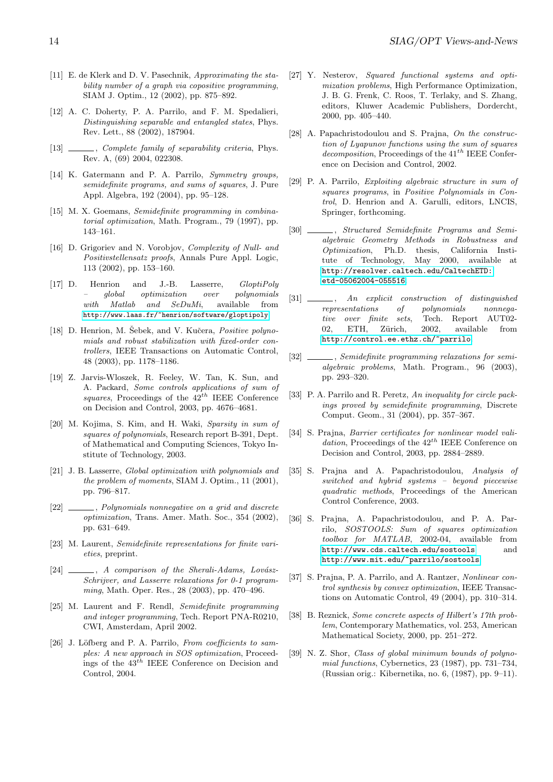- <span id="page-13-0"></span>[11] E. de Klerk and D. V. Pasechnik, Approximating the stability number of a graph via copositive programming, SIAM J. Optim., 12 (2002), pp. 875–892.
- [12] A. C. Doherty, P. A. Parrilo, and F. M. Spedalieri, Distinguishing separable and entangled states, Phys. Rev. Lett., 88 (2002), 187904.
- [13] \_\_\_\_\_, Complete family of separability criteria, Phys. Rev. A, (69) 2004, 022308.
- [14] K. Gatermann and P. A. Parrilo, Symmetry groups, semidefinite programs, and sums of squares, J. Pure Appl. Algebra, 192 (2004), pp. 95–128.
- [15] M. X. Goemans, Semidefinite programming in combinatorial optimization, Math. Program., 79 (1997), pp. 143–161.
- [16] D. Grigoriev and N. Vorobjov, *Complexity of Null- and* Positivstellensatz proofs, Annals Pure Appl. Logic, 113 (2002), pp. 153–160.
- [17] D. Henrion and J.-B. Lasserre, *GloptiPoly* – global optimization over polynomials with Matlab and SeDuMi, available from http://www.laas.fr/~henrion/software/gloptipoly.
- [18] D. Henrion, M. Sebek, and V. Kučera, *Positive polyno*mials and robust stabilization with fixed-order controllers, IEEE Transactions on Automatic Control, [48 \(2003\), pp. 1178–1186.](http://www.laas.fr/~henrion/software/gloptipoly)
- [19] Z. Jarvis-Wloszek, R. Feeley, W. Tan, K. Sun, and A. Packard, Some controls applications of sum of squares, Proceedings of the  $42^{th}$  IEEE Conference on Decision and Control, 2003, pp. 4676–4681.
- [20] M. Kojima, S. Kim, and H. Waki, Sparsity in sum of squares of polynomials, Research report B-391, Dept. of Mathematical and Computing Sciences, Tokyo Institute of Technology, 2003.
- [21] J. B. Lasserre, Global optimization with polynomials and the problem of moments, SIAM J. Optim., 11 (2001), pp. 796–817.
- [22]  $\_\_\_\_\_\_$ , Polynomials nonnegative on a grid and discrete optimization, Trans. Amer. Math. Soc., 354 (2002), pp. 631–649.
- [23] M. Laurent, Semidefinite representations for finite varieties, preprint.
- $[24]$  \_\_\_\_, A comparison of the Sherali-Adams, Lovász-Schrijver, and Lasserre relaxations for 0-1 programming, Math. Oper. Res., 28 (2003), pp. 470–496.
- [25] M. Laurent and F. Rendl, Semidefinite programming and integer programming, Tech. Report PNA-R0210, CWI, Amsterdam, April 2002.
- [26] J. Löfberg and P. A. Parrilo, From coefficients to samples: A new approach in SOS optimization, Proceedings of the  $43^{th}$  IEEE Conference on Decision and Control, 2004.
- [27] Y. Nesterov, Squared functional systems and optimization problems, High Performance Optimization, J. B. G. Frenk, C. Roos, T. Terlaky, and S. Zhang, editors, Kluwer Academic Publishers, Dordercht, 2000, pp. 405–440.
- [28] A. Papachristodoulou and S. Prajna, On the construction of Lyapunov functions using the sum of squares  $decomposition,$  Proceedings of the  $41^{th}$  IEEE Conference on Decision and Control, 2002.
- [29] P. A. Parrilo, Exploiting algebraic structure in sum of squares programs, in Positive Polynomials in Control, D. Henrion and A. Garulli, editors, LNCIS, Springer, forthcoming.
- [30] \_\_\_\_\_\_, Structured Semidefinite Programs and Semialgebraic Geometry Methods in Robustness and Optimization, Ph.D. thesis, California Institute of Technology, May 2000, available at http://resolver.caltech.edu/CaltechETD: etd-05062004-055516.
- [31]  $\qquad \qquad$ , An explicit construction of distinguished representations of polynomials nonnega[tive over finite sets](http://resolver.caltech.edu/CaltechETD:etd-05062004-055516), Tech. Report AUT02- 02, ETH, Zürich, 2002, available from http://control.ee.ethz.ch/~parrilo.
- [32] \_\_\_\_\_, Semidefinite programming relaxations for semialgebraic problems, Math. Program., 96 (2003), pp. 293–320.
- [33] P. [A. Parrilo and R. Peretz,](http://control.ee.ethz.ch/~parrilo) An inequality for circle packings proved by semidefinite programming, Discrete Comput. Geom., 31 (2004), pp. 357–367.
- [34] S. Prajna, Barrier certificates for nonlinear model validation, Proceedings of the  $42^{th}$  IEEE Conference on Decision and Control, 2003, pp. 2884–2889.
- [35] S. Prajna and A. Papachristodoulou, Analysis of switched and hybrid systems – beyond piecewise quadratic methods, Proceedings of the American Control Conference, 2003.
- [36] S. Prajna, A. Papachristodoulou, and P. A. Parrilo, SOSTOOLS: Sum of squares optimization toolbox for MATLAB, 2002-04, available from http://www.cds.caltech.edu/sostools and http://www.mit.edu/~parrilo/sostools.
- [37] S. Prajna, P. A. Parrilo, and A. Rantzer, Nonlinear control synthesis by convex optimization, IEEE Transac[tions on Automatic Control, 49 \(2004\), pp](http://www.cds.caltech.edu/sostools). 310–314.
- [38] B. Reznick, [Some concrete aspects of Hilbert's 1](http://www.mit.edu/~parrilo/sostools)7th problem, Contemporary Mathematics, vol. 253, American Mathematical Society, 2000, pp. 251–272.
- [39] N. Z. Shor, Class of global minimum bounds of polynomial functions, Cybernetics, 23 (1987), pp. 731–734, (Russian orig.: Kibernetika, no. 6, (1987), pp. 9–11).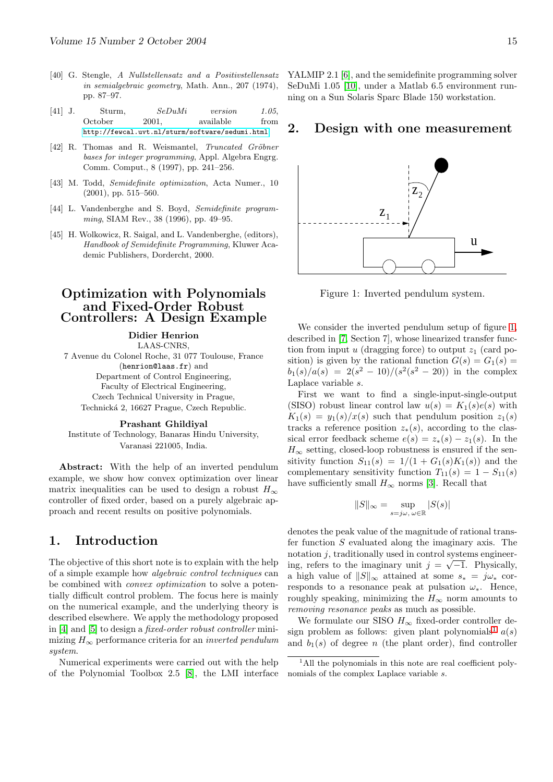- <span id="page-14-0"></span>[40] G. Stengle, A Nullstellensatz and a Positivstellensatz in semialgebraic geometry, Math. Ann., 207 (1974), pp. 87–97.
- [41] J. Sturm,  $SeDuMi$  version 1.05, October 2001, available from http://fewcal.uvt.nl/sturm/software/sedumi.html.
- [42] R. Thomas and R. Weismantel, *Truncated Gröbner* bases for integer programming, Appl. Algebra Engrg. Comm. Comput., 8 (1997), pp. 241–256.
- [43] M. Todd, [Semidefinite optimization](http://fewcal.uvt.nl/sturm/software/sedumi.html), Acta Numer., 10 (2001), pp. 515–560.
- [44] L. Vandenberghe and S. Boyd, Semidefinite programming, SIAM Rev., 38 (1996), pp. 49–95.
- [45] H. Wolkowicz, R. Saigal, and L. Vandenberghe, (editors), Handbook of Semidefinite Programming, Kluwer Academic Publishers, Dordercht, 2000.

### Optimization with Polynomials and Fixed-Order Robust Controllers: A Design Example

Didier Henrion LAAS-CNRS, 7 Avenue du Colonel Roche, 31 077 Toulouse, France (henrion@laas.fr) and Department of Control Engineering, Faculty of Electrical Engineering, Czech Technical University in Prague, Technická 2, 16627 Prague, Czech Republic.

#### Prashant Ghildiyal

Institute of Technology, Banaras Hindu University, Varanasi 221005, India.

Abstract: With the help of an inverted pendulum example, we show how convex optimization over linear matrix inequalities can be used to design a robust  $H_{\infty}$ controller of fixed order, based on a purely algebraic approach and recent results on positive polynomials.

### 1. Introduction

The objective of this short note is to explain with the help of a simple example how algebraic control techniques can be combined with *convex optimization* to solve a potentially difficult control problem. The focus here is mainly on the numerical example, and the underlying theory is described elsewhere. We apply the methodology proposed in [4] and [5] to design a fixed-order robust controller minimizing  $H_{\infty}$  performance criteria for an *inverted pendulum* system.

Numerical experiments were carried out with the help of [th](#page-16-0)e P[oly](#page-16-0)nomial Toolbox 2.5 [8], the LMI interface YALMIP 2.1 [6], and the semidefinite programming solver SeDuMi 1.05 [10], under a Matlab 6.5 environment running on a Sun Solaris Sparc Blade 150 workstation.

### 2. Desi[g](#page-16-0)n with one measurement



Figure 1: Inverted pendulum system.

We consider the inverted pendulum setup of figure 1, described in [7, Section 7], whose linearized transfer function from input u (dragging force) to output  $z_1$  (card position) is given by the rational function  $G(s) = G_1(s) =$  $b_1(s)/a(s) = 2(s^2 - 10)/(s^2(s^2 - 20))$  in the complex Laplace vari[ab](#page-16-0)le s.

First we want to find a single-input-single-output (SISO) robust linear control law  $u(s) = K_1(s)e(s)$  with  $K_1(s) = y_1(s)/x(s)$  such that pendulum position  $z_1(s)$ tracks a reference position  $z_*(s)$ , according to the classical error feedback scheme  $e(s) = z_*(s) - z_1(s)$ . In the  $H_{\infty}$  setting, closed-loop robustness is ensured if the sensitivity function  $S_{11}(s) = 1/(1 + G_1(s)K_1(s))$  and the complementary sensitivity function  $T_{11}(s) = 1 - S_{11}(s)$ have sufficiently small  $H_{\infty}$  norms [3]. Recall that

$$
||S||_{\infty} = \sup_{s=j\omega, \ \omega \in \mathbb{R}} |S(s)|
$$

denotes the peak value of the magn[itu](#page-16-0)de of rational transfer function S evaluated along the imaginary axis. The notation j, traditionally used in control systems engineering, refers to the imaginary unit  $j = \sqrt{-1}$ . Physically, a high value of  $||S||_{\infty}$  attained at some  $s_* = j\omega_*$  corresponds to a resonance peak at pulsation  $\omega_*$ . Hence, roughly speaking, minimizing the  $H_{\infty}$  norm amounts to removing resonance peaks as much as possible.

We formulate our SISO  $H_{\infty}$  fixed-order controller design problem as follows: given plant polynomials<sup>1</sup>  $a(s)$ and  $b_1(s)$  of degree n (the plant order), find controller

<sup>&</sup>lt;sup>1</sup>All the polynomials in this note are real coefficient polynomials of the complex Laplace variable s.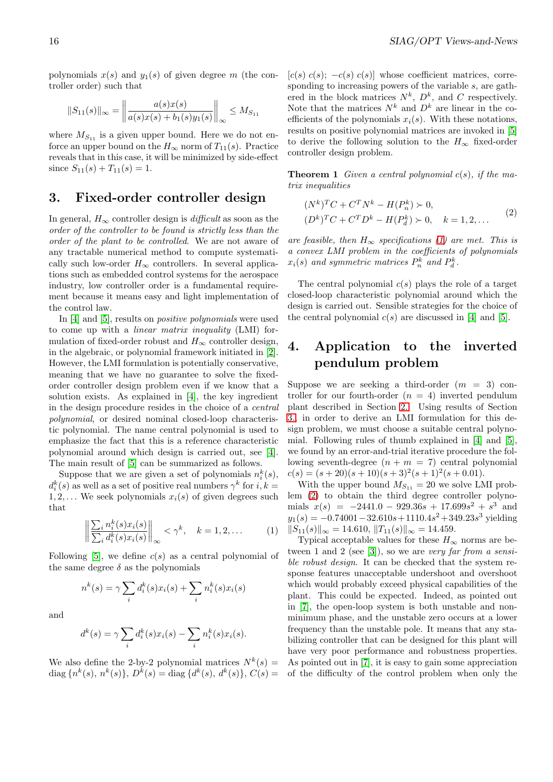polynomials  $x(s)$  and  $y_1(s)$  of given degree m (the controller order) such that

$$
||S_{11}(s)||_{\infty} = \left\| \frac{a(s)x(s)}{a(s)x(s) + b_1(s)y_1(s)} \right\|_{\infty} \le M_{S_{11}}
$$

where  $M_{S_{11}}$  is a given upper bound. Here we do not enforce an upper bound on the  $H_{\infty}$  norm of  $T_{11}(s)$ . Practice reveals that in this case, it will be minimized by side-effect since  $S_{11}(s) + T_{11}(s) = 1$ .

### 3. Fixed-order controller design

In general,  $H_{\infty}$  controller design is *difficult* as soon as the order of the controller to be found is strictly less than the order of the plant to be controlled. We are not aware of any tractable numerical method to compute systematically such low-order  $H_{\infty}$  controllers. In several applications such as embedded control systems for the aerospace industry, low controller order is a fundamental requirement because it means easy and light implementation of the control law.

In [4] and [5], results on positive polynomials were used to come up with a *linear matrix inequality* (LMI) formulation of fixed-order robust and  $H_{\infty}$  controller design, in the algebraic, or polynomial framework initiated in [2]. Howe[ve](#page-16-0)r, the [L](#page-16-0)MI formulation is potentially conservative, meaning that we have no guarantee to solve the fixedorder controller design problem even if we know that a solution exists. As explained in [4], the key ingredi[en](#page-16-0)t in the design procedure resides in the choice of a central polynomial, or desired nominal closed-loop characteristic polynomial. The name central polynomial is used to emphasize the fact that this is a [ref](#page-16-0)erence characteristic polynomial around which design is carried out, see [4]. The main result of [5] can be summarized as follows.

Suppose that we are given a set of polynomials  $n_i^k(s)$ ,  $d_i^k(s)$  as well as a set of positive real numbers  $\gamma^k$  for  $i, k =$  $1, 2, \ldots$  We seek polynomials  $x_i(s)$  of given degrees s[uch](#page-16-0) that

$$
\left\| \frac{\sum_{i} n_i^k(s) x_i(s)}{\sum_{i} d_i^k(s) x_i(s)} \right\|_{\infty} < \gamma^k, \quad k = 1, 2, \dots
$$
 (1)

Following [5], we define  $c(s)$  as a central polynomial of the same degree  $\delta$  as the polynomials

$$
n^{k}(s) = \gamma \sum_{i} d_{i}^{k}(s)x_{i}(s) + \sum_{i} n_{i}^{k}(s)x_{i}(s)
$$

and

$$
d^k(s) = \gamma \sum_i d_i^k(s) x_i(s) - \sum_i n_i^k(s) x_i(s).
$$

We also define the 2-by-2 polynomial matrices  $N^k(s)$  = diag  $\{n^k(s), n^k(s)\}, D^k(s) = \text{diag}\{d^k(s), d^k(s)\}, C(s) =$   $[c(s) c(s); -c(s) c(s)]$  whose coefficient matrices, corresponding to increasing powers of the variable s, are gathered in the block matrices  $N^k$ ,  $D^k$ , and C respectively. Note that the matrices  $N^k$  and  $D^k$  are linear in the coefficients of the polynomials  $x_i(s)$ . With these notations, results on positive polynomial matrices are invoked in [5] to derive the following solution to the  $H_{\infty}$  fixed-order controller design problem.

**Theorem 1** Given a central polynomial  $c(s)$ , if the m[a](#page-16-0)trix inequalities

$$
(N^{k})^{T}C + C^{T}N^{k} - H(P_{n}^{k}) \succ 0,
$$
  
\n
$$
(D^{k})^{T}C + C^{T}D^{k} - H(P_{d}^{k}) \succ 0, \quad k = 1, 2, ...
$$
\n(2)

are feasible, then  $H_{\infty}$  specifications (1) are met. This is a convex LMI problem in the coefficients of polynomials  $x_i(s)$  and symmetric matrices  $P_n^k$  and  $P_d^k$ .

The central polynomial  $c(s)$  plays [th](#page-1-0)e role of a target closed-loop characteristic polynomial around which the design is carried out. Sensible strategies for the choice of the central polynomial  $c(s)$  are discussed in [4] and [5].

## 4. Application to the inverted pendulum problem

Suppose we are seeking a third-order  $(m = 3)$  controller for our fourth-order  $(n = 4)$  inverted pendulum plant described in Section 2.. Using results of Section 3., in order to derive an LMI formulation for this design problem, we must choose a suitable central polynomial. Following rules of thumb explained in [4] and [5], we found by an error-and-tr[ial](#page-2-0) iterative procedure the fol[low](#page-3-0)ing seventh-degree  $(n + m = 7)$  central polynomial  $c(s) = (s+20)(s+10)(s+3)^2(s+1)^2(s+0.01).$ 

With the upper bound  $M_{S_{11}} = 20$  we solve [LM](#page-16-0)I pr[ob](#page-16-0)lem (2) to obtain the third degree controller polynomials  $x(s) = -2441.0 - 929.36s + 17.699s^2 + s^3$  and  $y_1(s) = -0.74001 - 32.610s + 1110.4s^2 + 349.23s^3$  yielding  $||S_{11}(s)||_{\infty} = 14.610, ||T_{11}(s)||_{\infty} = 14.459.$ 

Ty[pic](#page-1-0)al acceptable values for these  $H_{\infty}$  norms are between 1 and 2 (see [3]), so we are very far from a sensible robust design. It can be checked that the system response features unacceptable undershoot and overshoot which would probably exceed physical capabilities of the plant. This could [be](#page-16-0) expected. Indeed, as pointed out in [7], the open-loop system is both unstable and nonminimum phase, and the unstable zero occurs at a lower frequency than the unstable pole. It means that any stabilizing controller that can be designed for this plant will ha[ve](#page-16-0) very poor performance and robustness properties. As pointed out in [7], it is easy to gain some appreciation of the difficulty of the control problem when only the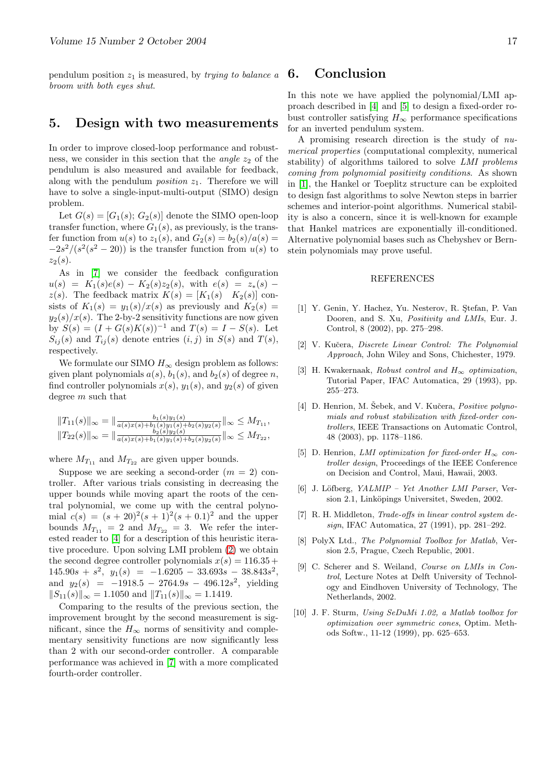<span id="page-16-0"></span>pendulum position  $z_1$  is measured, by *trying to balance a* broom with both eyes shut.

### 5. Design with two measurements

In order to improve closed-loop performance and robustness, we consider in this section that the *angle*  $z_2$  of the pendulum is also measured and available for feedback, along with the pendulum *position*  $z_1$ . Therefore we will have to solve a single-input-multi-output (SIMO) design problem.

Let  $G(s) = [G_1(s); G_2(s)]$  denote the SIMO open-loop transfer function, where  $G_1(s)$ , as previously, is the transfer function from  $u(s)$  to  $z_1(s)$ , and  $G_2(s) = b_2(s)/a(s) =$  $-2s^2/(s^2(s^2-20))$  is the transfer function from  $u(s)$  to  $z_2(s)$ .

As in [7] we consider the feedback configuration  $u(s) = K_1(s)e(s) - K_2(s)z_2(s)$ , with  $e(s) = z_*(s)$  $z(s)$ . The feedback matrix  $K(s) = [K_1(s) \quad K_2(s)]$  consists of  $K_1(s) = y_1(s)/x(s)$  as previously and  $K_2(s) =$  $y_2(s)/x(s)$ . The 2-by-2 sensitivity functions are now given by  $S(s) = (I + G(s)K(s))^{-1}$  and  $T(s) = I - S(s)$ . Let  $S_{ij}(s)$  and  $T_{ij}(s)$  denote entries  $(i, j)$  in  $S(s)$  and  $T(s)$ , respectively.

We formulate our SIMO  $H_{\infty}$  design problem as follows: given plant polynomials  $a(s)$ ,  $b_1(s)$ , and  $b_2(s)$  of degree n, find controller polynomials  $x(s)$ ,  $y_1(s)$ , and  $y_2(s)$  of given degree  $m$  such that

$$
||T_{11}(s)||_{\infty} = ||\frac{b_1(s)y_1(s)}{a(s)x(s)+b_1(s)y_1(s)+b_2(s)y_2(s)}||_{\infty} \le M_{T_{11}},
$$
  

$$
||T_{22}(s)||_{\infty} = ||\frac{b_2(s)y_2(s)}{a(s)x(s)+b_1(s)y_1(s)+b_2(s)y_2(s)}||_{\infty} \le M_{T_{22}},
$$

where  $M_{T_{11}}$  and  $M_{T_{22}}$  are given upper bounds.

Suppose we are seeking a second-order  $(m = 2)$  controller. After various trials consisting in decreasing the upper bounds while moving apart the roots of the central polynomial, we come up with the central polynomial  $c(s) = (s + 20)^2(s + 1)^2(s + 0.1)^2$  and the upper bounds  $M_{T_{11}} = 2$  and  $M_{T_{22}} = 3$ . We refer the interested reader to [4] for a description of this heuristic iterative procedure. Upon solving LMI problem (2) we obtain the second degree controller polynomials  $x(s) = 116.35 +$  $145.90s + s^2$ ,  $y_1(s) = -1.6205 - 33.693s - 38.843s^2$ , and  $y_2(s) = -1918.5 - 2764.9s - 496.12s^2$ , yielding  $||S_{11}(s)||_{\infty} = 1.1050$  and  $||T_{11}(s)||_{\infty} = 1.1419$ .

Comparing to the results of the previous section, the improvement brought by the second measurement is significant, since the  $H_{\infty}$  norms of sensitivity and complementary sensitivity functions are now significantly less than 2 with our second-order controller. A comparable performance was achieved in [7] with a more complicated fourth-order controller.

### 6. Conclusion

In this note we have applied the polynomial/LMI approach described in [4] and [5] to design a fixed-order robust controller satisfying  $H_{\infty}$  performance specifications for an inverted pendulum system.

A promising research direction is the study of numerical properties (computational complexity, numerical stability) of algorithms tailored to solve LMI problems coming from polynomial positivity conditions. As shown in [1], the Hankel or Toeplitz structure can be exploited to design fast algorithms to solve Newton steps in barrier schemes and interior-point algorithms. Numerical stability is also a concern, since it is well-known for example that Hankel matrices are exponentially ill-conditioned. Alternative polynomial bases such as Chebyshev or Bernstein polynomials may prove useful.

#### REFERENCES

- [1] Y. Genin, Y. Hachez, Yu. Nesterov, R. Stefan, P. Van Dooren, and S. Xu, *Positivity and LMIs*, Eur. J. Control, 8 (2002), pp. 275–298.
- [2] V. Kučera, Discrete Linear Control: The Polynomial Approach, John Wiley and Sons, Chichester, 1979.
- [3] H. Kwakernaak, Robust control and  $H_{\infty}$  optimization, Tutorial Paper, IFAC Automatica, 29 (1993), pp. 255–273.
- [4] D. Henrion, M. Šebek, and V. Kučera, *Positive polyno*mials and robust stabilization with fixed-order controllers, IEEE Transactions on Automatic Control, 48 (2003), pp. 1178–1186.
- [5] D. Henrion, LMI optimization for fixed-order  $H_{\infty}$  controller design, Proceedings of the IEEE Conference on Decision and Control, Maui, Hawaii, 2003.
- [6] J. Löfberg, YALMIP Yet Another LMI Parser, Version 2.1, Linköpings Universitet, Sweden, 2002.
- [7] R. H. Middleton, *Trade-offs in linear control system de*sign, IFAC Automatica, 27 (1991), pp. 281–292.
- [8] PolyX Ltd., The Polynomial Toolbox for Matlab, Version 2.5, Prague, Czech Republic, 2001.
- [9] C. Scherer and S. Weiland, Course on LMIs in Control, Lecture Notes at Delft University of Technology and Eindhoven University of Technology, The Netherlands, 2002.
- [10] J. F. Sturm, Using SeDuMi 1.02, a Matlab toolbox for optimization over symmetric cones, Optim. Methods Softw., 11-12 (1999), pp. 625–653.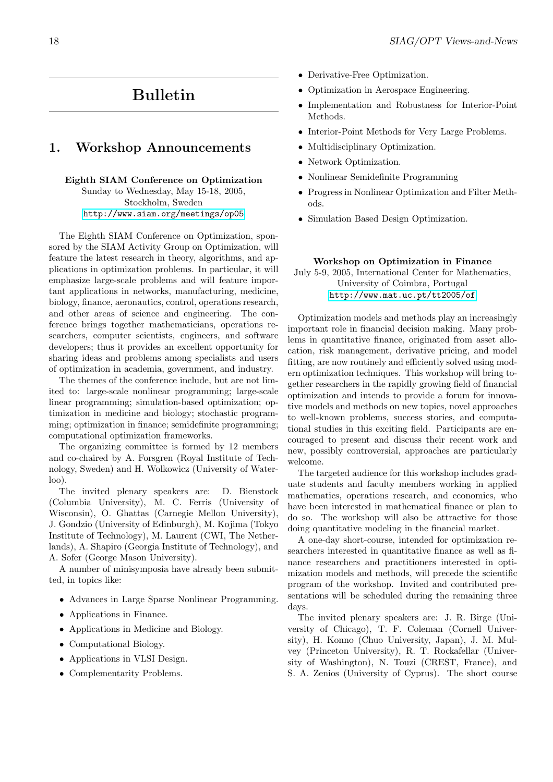# Bulletin

### <span id="page-17-0"></span>1. Workshop Announcements

#### Eighth SIAM Conference on Optimization

Sunday to Wednesday, May 15-18, 2005, Stockholm, Sweden http://www.siam.org/meetings/op05

The Eighth SIAM Conference on Optimization, sponsored by the SIAM Activity Group on Optimization, will feature [the latest research in theory, algorithms,](http://www.siam.org/meetings/op05) and applications in optimization problems. In particular, it will emphasize large-scale problems and will feature important applications in networks, manufacturing, medicine, biology, finance, aeronautics, control, operations research, and other areas of science and engineering. The conference brings together mathematicians, operations researchers, computer scientists, engineers, and software developers; thus it provides an excellent opportunity for sharing ideas and problems among specialists and users of optimization in academia, government, and industry.

The themes of the conference include, but are not limited to: large-scale nonlinear programming; large-scale linear programming; simulation-based optimization; optimization in medicine and biology; stochastic programming; optimization in finance; semidefinite programming; computational optimization frameworks.

The organizing committee is formed by 12 members and co-chaired by A. Forsgren (Royal Institute of Technology, Sweden) and H. Wolkowicz (University of Waterloo).

The invited plenary speakers are: D. Bienstock (Columbia University), M. C. Ferris (University of Wisconsin), O. Ghattas (Carnegie Mellon University), J. Gondzio (University of Edinburgh), M. Kojima (Tokyo Institute of Technology), M. Laurent (CWI, The Netherlands), A. Shapiro (Georgia Institute of Technology), and A. Sofer (George Mason University).

A number of minisymposia have already been submitted, in topics like:

- Advances in Large Sparse Nonlinear Programming.
- Applications in Finance.
- Applications in Medicine and Biology.
- Computational Biology.
- Applications in VLSI Design.
- Complementarity Problems.
- Derivative-Free Optimization.
- Optimization in Aerospace Engineering.
- Implementation and Robustness for Interior-Point Methods.
- Interior-Point Methods for Very Large Problems.
- Multidisciplinary Optimization.
- Network Optimization.
- Nonlinear Semidefinite Programming
- Progress in Nonlinear Optimization and Filter Methods.
- Simulation Based Design Optimization.

#### Workshop on Optimization in Finance

July 5-9, 2005, International Center for Mathematics, University of Coimbra, Portugal http://www.mat.uc.pt/tt2005/of

Optimization models and methods play an increasingly important role in financial decision making. Many problems in q[uantitative finance, originated from a](http://www.mat.uc.pt/tt2005/of)sset allocation, risk management, derivative pricing, and model fitting, are now routinely and efficiently solved using modern optimization techniques. This workshop will bring together researchers in the rapidly growing field of financial optimization and intends to provide a forum for innovative models and methods on new topics, novel approaches to well-known problems, success stories, and computational studies in this exciting field. Participants are encouraged to present and discuss their recent work and new, possibly controversial, approaches are particularly welcome.

The targeted audience for this workshop includes graduate students and faculty members working in applied mathematics, operations research, and economics, who have been interested in mathematical finance or plan to do so. The workshop will also be attractive for those doing quantitative modeling in the financial market.

A one-day short-course, intended for optimization researchers interested in quantitative finance as well as finance researchers and practitioners interested in optimization models and methods, will precede the scientific program of the workshop. Invited and contributed presentations will be scheduled during the remaining three days.

The invited plenary speakers are: J. R. Birge (University of Chicago), T. F. Coleman (Cornell University), H. Konno (Chuo University, Japan), J. M. Mulvey (Princeton University), R. T. Rockafellar (University of Washington), N. Touzi (CREST, France), and S. A. Zenios (University of Cyprus). The short course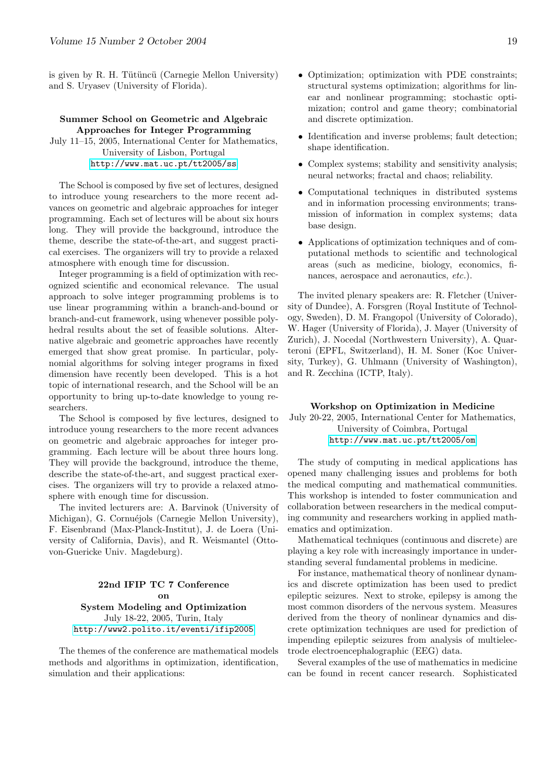is given by R. H. Tütüncü (Carnegie Mellon University) and S. Uryasev (University of Florida).

### Summer School on Geometric and Algebraic Approaches for Integer Programming

July 11–15, 2005, International Center for Mathematics, University of Lisbon, Portugal http://www.mat.uc.pt/tt2005/ss

The School is composed by five set of lectures, designed to introduce young researchers to the more recent advances on [geometric and algebraic approaches f](http://www.mat.uc.pt/tt2005/ss)or integer programming. Each set of lectures will be about six hours long. They will provide the background, introduce the theme, describe the state-of-the-art, and suggest practical exercises. The organizers will try to provide a relaxed atmosphere with enough time for discussion.

Integer programming is a field of optimization with recognized scientific and economical relevance. The usual approach to solve integer programming problems is to use linear programming within a branch-and-bound or branch-and-cut framework, using whenever possible polyhedral results about the set of feasible solutions. Alternative algebraic and geometric approaches have recently emerged that show great promise. In particular, polynomial algorithms for solving integer programs in fixed dimension have recently been developed. This is a hot topic of international research, and the School will be an opportunity to bring up-to-date knowledge to young researchers.

The School is composed by five lectures, designed to introduce young researchers to the more recent advances on geometric and algebraic approaches for integer programming. Each lecture will be about three hours long. They will provide the background, introduce the theme, describe the state-of-the-art, and suggest practical exercises. The organizers will try to provide a relaxed atmosphere with enough time for discussion.

The invited lecturers are: A. Barvinok (University of Michigan), G. Cornuéjols (Carnegie Mellon University), F. Eisenbrand (Max-Planck-Institut), J. de Loera (University of California, Davis), and R. Weismantel (Ottovon-Guericke Univ. Magdeburg).

### 22nd IFIP TC 7 Conference on System Modeling and Optimization July 18-22, 2005, Turin, Italy http://www2.polito.it/eventi/ifip2005

The themes of the conference are mathematical models methods and algorithms in optimization, identification, simul[ation and their applications:](http://www2.polito.it/eventi/ifip2005)

- Optimization; optimization with PDE constraints; structural systems optimization; algorithms for linear and nonlinear programming; stochastic optimization; control and game theory; combinatorial and discrete optimization.
- Identification and inverse problems; fault detection; shape identification.
- Complex systems; stability and sensitivity analysis; neural networks; fractal and chaos; reliability.
- Computational techniques in distributed systems and in information processing environments; transmission of information in complex systems; data base design.
- Applications of optimization techniques and of computational methods to scientific and technological areas (such as medicine, biology, economics, finances, aerospace and aeronautics, etc.).

The invited plenary speakers are: R. Fletcher (University of Dundee), A. Forsgren (Royal Institute of Technology, Sweden), D. M. Frangopol (University of Colorado), W. Hager (University of Florida), J. Mayer (University of Zurich), J. Nocedal (Northwestern University), A. Quarteroni (EPFL, Switzerland), H. M. Soner (Koc University, Turkey), G. Uhlmann (University of Washington), and R. Zecchina (ICTP, Italy).

#### Workshop on Optimization in Medicine

July 20-22, 2005, International Center for Mathematics, University of Coimbra, Portugal http://www.mat.uc.pt/tt2005/om

The study of computing in medical applications has opened many challenging issues and problems for both the medic[al computing and mathematical com](http://www.mat.uc.pt/tt2005/om)munities. This workshop is intended to foster communication and collaboration between researchers in the medical computing community and researchers working in applied mathematics and optimization.

Mathematical techniques (continuous and discrete) are playing a key role with increasingly importance in understanding several fundamental problems in medicine.

For instance, mathematical theory of nonlinear dynamics and discrete optimization has been used to predict epileptic seizures. Next to stroke, epilepsy is among the most common disorders of the nervous system. Measures derived from the theory of nonlinear dynamics and discrete optimization techniques are used for prediction of impending epileptic seizures from analysis of multielectrode electroencephalographic (EEG) data.

Several examples of the use of mathematics in medicine can be found in recent cancer research. Sophisticated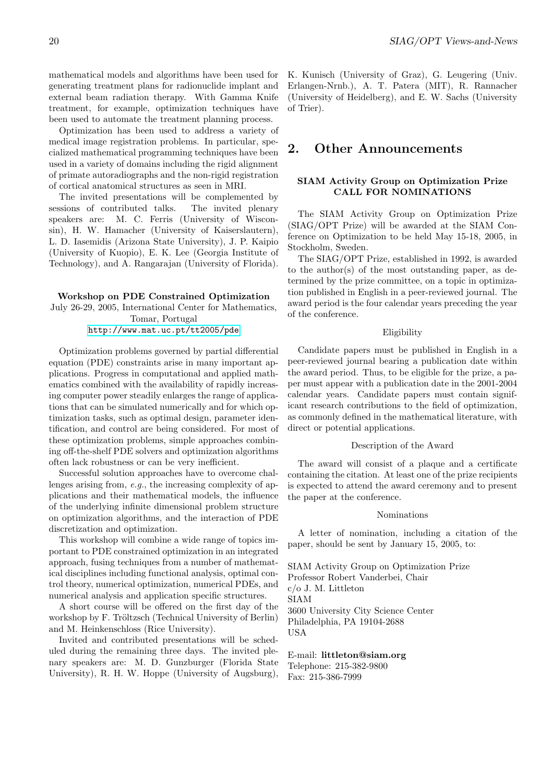mathematical models and algorithms have been used for generating treatment plans for radionuclide implant and external beam radiation therapy. With Gamma Knife treatment, for example, optimization techniques have been used to automate the treatment planning process.

Optimization has been used to address a variety of medical image registration problems. In particular, specialized mathematical programming techniques have been used in a variety of domains including the rigid alignment of primate autoradiographs and the non-rigid registration of cortical anatomical structures as seen in MRI.

The invited presentations will be complemented by sessions of contributed talks. The invited plenary speakers are: M. C. Ferris (University of Wisconsin), H. W. Hamacher (University of Kaiserslautern), L. D. Iasemidis (Arizona State University), J. P. Kaipio (University of Kuopio), E. K. Lee (Georgia Institute of Technology), and A. Rangarajan (University of Florida).

Workshop on PDE Constrained Optimization July 26-29, 2005, International Center for Mathematics, Tomar, Portugal

http://www.mat.uc.pt/tt2005/pde

Optimization problems governed by partial differential equation (PDE) constraints arise in many important application[s. Progress in computational and appli](http://www.mat.uc.pt/tt2005/pde)ed mathematics combined with the availability of rapidly increasing computer power steadily enlarges the range of applications that can be simulated numerically and for which optimization tasks, such as optimal design, parameter identification, and control are being considered. For most of these optimization problems, simple approaches combining off-the-shelf PDE solvers and optimization algorithms often lack robustness or can be very inefficient.

Successful solution approaches have to overcome challenges arising from, e.g., the increasing complexity of applications and their mathematical models, the influence of the underlying infinite dimensional problem structure on optimization algorithms, and the interaction of PDE discretization and optimization.

This workshop will combine a wide range of topics important to PDE constrained optimization in an integrated approach, fusing techniques from a number of mathematical disciplines including functional analysis, optimal control theory, numerical optimization, numerical PDEs, and numerical analysis and application specific structures.

A short course will be offered on the first day of the workshop by F. Tröltzsch (Technical University of Berlin) and M. Heinkenschloss (Rice University).

Invited and contributed presentations will be scheduled during the remaining three days. The invited plenary speakers are: M. D. Gunzburger (Florida State University), R. H. W. Hoppe (University of Augsburg),

K. Kunisch (University of Graz), G. Leugering (Univ. Erlangen-Nrnb.), A. T. Patera (MIT), R. Rannacher (University of Heidelberg), and E. W. Sachs (University of Trier).

### 2. Other Announcements

### SIAM Activity Group on Optimization Prize CALL FOR NOMINATIONS

The SIAM Activity Group on Optimization Prize (SIAG/OPT Prize) will be awarded at the SIAM Conference on Optimization to be held May 15-18, 2005, in Stockholm, Sweden.

The SIAG/OPT Prize, established in 1992, is awarded to the author(s) of the most outstanding paper, as determined by the prize committee, on a topic in optimization published in English in a peer-reviewed journal. The award period is the four calendar years preceding the year of the conference.

#### Eligibility

Candidate papers must be published in English in a peer-reviewed journal bearing a publication date within the award period. Thus, to be eligible for the prize, a paper must appear with a publication date in the 2001-2004 calendar years. Candidate papers must contain significant research contributions to the field of optimization, as commonly defined in the mathematical literature, with direct or potential applications.

#### Description of the Award

The award will consist of a plaque and a certificate containing the citation. At least one of the prize recipients is expected to attend the award ceremony and to present the paper at the conference.

#### Nominations

A letter of nomination, including a citation of the paper, should be sent by January 15, 2005, to:

SIAM Activity Group on Optimization Prize Professor Robert Vanderbei, Chair c/o J. M. Littleton SIAM 3600 University City Science Center Philadelphia, PA 19104-2688 USA

E-mail: littleton@siam.org Telephone: 215-382-9800 Fax: 215-386-7999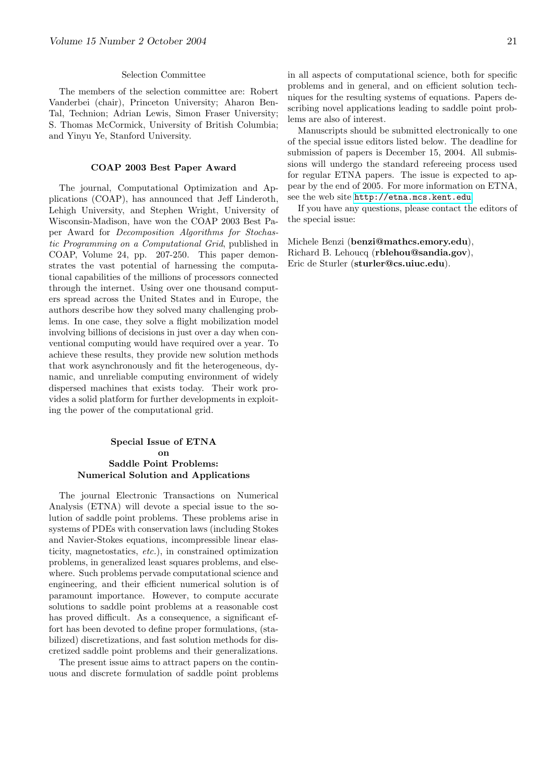#### Selection Committee

The members of the selection committee are: Robert Vanderbei (chair), Princeton University; Aharon Ben-Tal, Technion; Adrian Lewis, Simon Fraser University; S. Thomas McCormick, University of British Columbia; and Yinyu Ye, Stanford University.

### COAP 2003 Best Paper Award

The journal, Computational Optimization and Applications (COAP), has announced that Jeff Linderoth, Lehigh University, and Stephen Wright, University of Wisconsin-Madison, have won the COAP 2003 Best Paper Award for Decomposition Algorithms for Stochastic Programming on a Computational Grid, published in COAP, Volume 24, pp. 207-250. This paper demonstrates the vast potential of harnessing the computational capabilities of the millions of processors connected through the internet. Using over one thousand computers spread across the United States and in Europe, the authors describe how they solved many challenging problems. In one case, they solve a flight mobilization model involving billions of decisions in just over a day when conventional computing would have required over a year. To achieve these results, they provide new solution methods that work asynchronously and fit the heterogeneous, dynamic, and unreliable computing environment of widely dispersed machines that exists today. Their work provides a solid platform for further developments in exploiting the power of the computational grid.

### Special Issue of ETNA on Saddle Point Problems: Numerical Solution and Applications

The journal Electronic Transactions on Numerical Analysis (ETNA) will devote a special issue to the solution of saddle point problems. These problems arise in systems of PDEs with conservation laws (including Stokes and Navier-Stokes equations, incompressible linear elasticity, magnetostatics, etc.), in constrained optimization problems, in generalized least squares problems, and elsewhere. Such problems pervade computational science and engineering, and their efficient numerical solution is of paramount importance. However, to compute accurate solutions to saddle point problems at a reasonable cost has proved difficult. As a consequence, a significant effort has been devoted to define proper formulations, (stabilized) discretizations, and fast solution methods for discretized saddle point problems and their generalizations.

The present issue aims to attract papers on the continuous and discrete formulation of saddle point problems in all aspects of computational science, both for specific problems and in general, and on efficient solution techniques for the resulting systems of equations. Papers describing novel applications leading to saddle point problems are also of interest.

Manuscripts should be submitted electronically to one of the special issue editors listed below. The deadline for submission of papers is December 15, 2004. All submissions will undergo the standard refereeing process used for regular ETNA papers. The issue is expected to appear by the end of 2005. For more information on ETNA, see the web site http://etna.mcs.kent.edu.

If you have any questions, please contact the editors of the special issue:

Michele Benzi ([benzi@mathcs.emory.edu](http://etna.mcs.kent.edu)), Richard B. Lehoucq (rblehou@sandia.gov), Eric de Sturler (sturler@cs.uiuc.edu).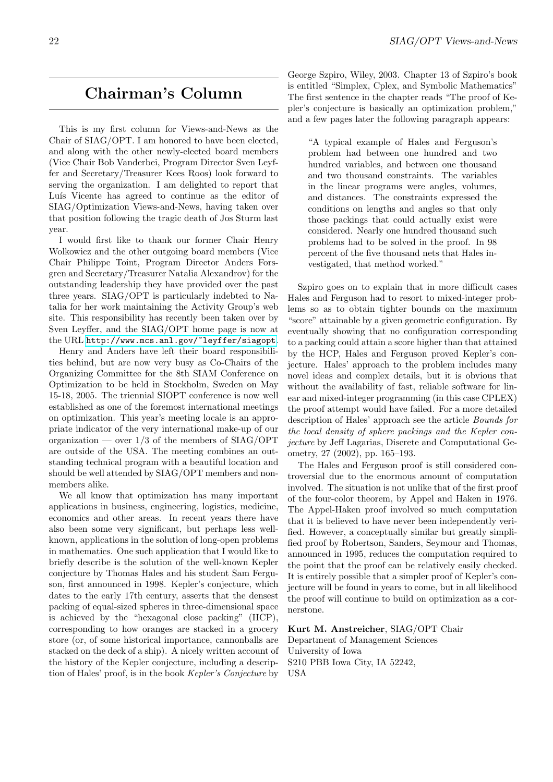# Chairman's Column

This is my first column for Views-and-News as the Chair of SIAG/OPT. I am honored to have been elected, and along with the other newly-elected board members (Vice Chair Bob Vanderbei, Program Director Sven Leyffer and Secretary/Treasurer Kees Roos) look forward to serving the organization. I am delighted to report that Luís Vicente has agreed to continue as the editor of SIAG/Optimization Views-and-News, having taken over that position following the tragic death of Jos Sturm last year.

I would first like to thank our former Chair Henry Wolkowicz and the other outgoing board members (Vice Chair Philippe Toint, Program Director Anders Forsgren and Secretary/Treasurer Natalia Alexandrov) for the outstanding leadership they have provided over the past three years. SIAG/OPT is particularly indebted to Natalia for her work maintaining the Activity Group's web site. This responsibility has recently been taken over by Sven Leyffer, and the SIAG/OPT home page is now at the URL http://www.mcs.anl.gov/~leyffer/siagopt.

Henry and Anders have left their board responsibilities behind, but are now very busy as Co-Chairs of the Organizing Committee for the 8th SIAM Conference on Optimiz[ation to be held in Stockholm, Sweden on May](http://www.mcs.anl.gov/~leyffer/siagopt) 15-18, 2005. The triennial SIOPT conference is now well established as one of the foremost international meetings on optimization. This year's meeting locale is an appropriate indicator of the very international make-up of our organization — over  $1/3$  of the members of SIAG/OPT are outside of the USA. The meeting combines an outstanding technical program with a beautiful location and should be well attended by SIAG/OPT members and nonmembers alike.

We all know that optimization has many important applications in business, engineering, logistics, medicine, economics and other areas. In recent years there have also been some very significant, but perhaps less wellknown, applications in the solution of long-open problems in mathematics. One such application that I would like to briefly describe is the solution of the well-known Kepler conjecture by Thomas Hales and his student Sam Ferguson, first announced in 1998. Kepler's conjecture, which dates to the early 17th century, asserts that the densest packing of equal-sized spheres in three-dimensional space is achieved by the "hexagonal close packing" (HCP), corresponding to how oranges are stacked in a grocery store (or, of some historical importance, cannonballs are stacked on the deck of a ship). A nicely written account of the history of the Kepler conjecture, including a description of Hales' proof, is in the book Kepler's Conjecture by George Szpiro, Wiley, 2003. Chapter 13 of Szpiro's book is entitled "Simplex, Cplex, and Symbolic Mathematics" The first sentence in the chapter reads "The proof of Kepler's conjecture is basically an optimization problem," and a few pages later the following paragraph appears:

"A typical example of Hales and Ferguson's problem had between one hundred and two hundred variables, and between one thousand and two thousand constraints. The variables in the linear programs were angles, volumes, and distances. The constraints expressed the conditions on lengths and angles so that only those packings that could actually exist were considered. Nearly one hundred thousand such problems had to be solved in the proof. In 98 percent of the five thousand nets that Hales investigated, that method worked."

Szpiro goes on to explain that in more difficult cases Hales and Ferguson had to resort to mixed-integer problems so as to obtain tighter bounds on the maximum "score" attainable by a given geometric configuration. By eventually showing that no configuration corresponding to a packing could attain a score higher than that attained by the HCP, Hales and Ferguson proved Kepler's conjecture. Hales' approach to the problem includes many novel ideas and complex details, but it is obvious that without the availability of fast, reliable software for linear and mixed-integer programming (in this case CPLEX) the proof attempt would have failed. For a more detailed description of Hales' approach see the article Bounds for the local density of sphere packings and the Kepler conjecture by Jeff Lagarias, Discrete and Computational Geometry, 27 (2002), pp. 165–193.

The Hales and Ferguson proof is still considered controversial due to the enormous amount of computation involved. The situation is not unlike that of the first proof of the four-color theorem, by Appel and Haken in 1976. The Appel-Haken proof involved so much computation that it is believed to have never been independently verified. However, a conceptually similar but greatly simplified proof by Robertson, Sanders, Seymour and Thomas, announced in 1995, reduces the computation required to the point that the proof can be relatively easily checked. It is entirely possible that a simpler proof of Kepler's conjecture will be found in years to come, but in all likelihood the proof will continue to build on optimization as a cornerstone.

Kurt M. Anstreicher, SIAG/OPT Chair Department of Management Sciences University of Iowa S210 PBB Iowa City, IA 52242, USA